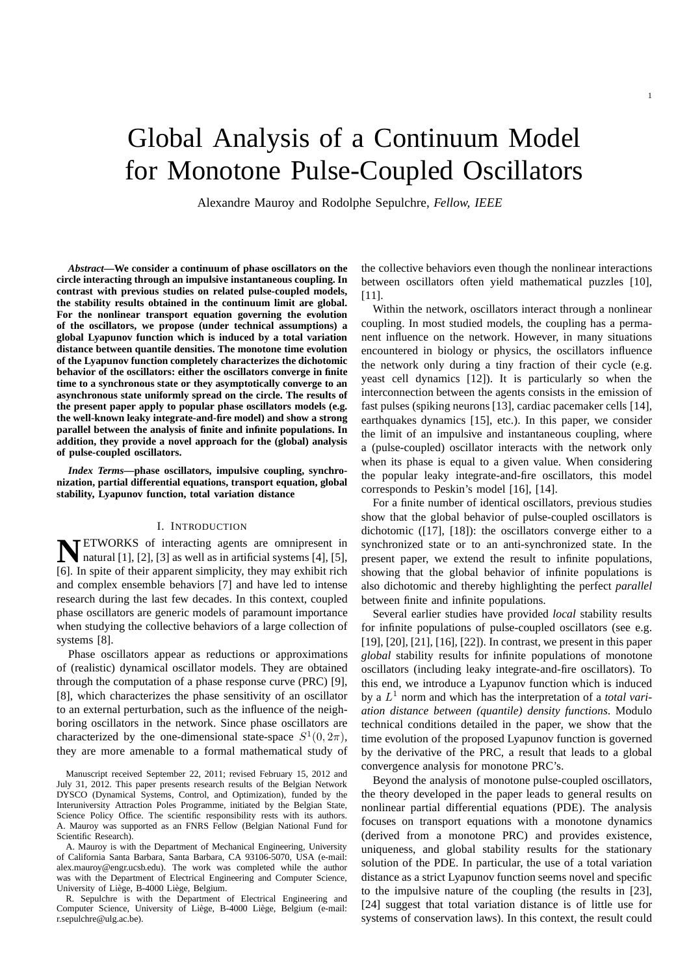# Global Analysis of a Continuum Model for Monotone Pulse-Coupled Oscillators

Alexandre Mauroy and Rodolphe Sepulchre, *Fellow, IEEE*

*Abstract***—We consider a continuum of phase oscillators on the circle interacting through an impulsive instantaneous coupling. In contrast with previous studies on related pulse-coupled models, the stability results obtained in the continuum limit are global. For the nonlinear transport equation governing the evolution of the oscillators, we propose (under technical assumptions) a global Lyapunov function which is induced by a total variation distance between quantile densities. The monotone time evolution of the Lyapunov function completely characterizes the dichotomic behavior of the oscillators: either the oscillators converge in finite time to a synchronous state or they asymptotically converge to an asynchronous state uniformly spread on the circle. The results of the present paper apply to popular phase oscillators models (e.g. the well-known leaky integrate-and-fire model) and show a strong parallel between the analysis of finite and infinite populations. In addition, they provide a novel approach for the (global) analysis of pulse-coupled oscillators.**

*Index Terms***—phase oscillators, impulsive coupling, synchronization, partial differential equations, transport equation, global stability, Lyapunov function, total variation distance**

## I. INTRODUCTION

**NETWORKS** of interacting agents are omnipresent in natural [1], [2], [3] as well as in artificial systems [4], [5], natural [1], [2], [3] as well as in artificial systems [4], [5], [6]. In spite of their apparent simplicity, they may exhibit rich and complex ensemble behaviors [7] and have led to intense research during the last few decades. In this context, coupled phase oscillators are generic models of paramount importance when studying the collective behaviors of a large collection of systems [8].

Phase oscillators appear as reductions or approximations of (realistic) dynamical oscillator models. They are obtained through the computation of a phase response curve (PRC) [9], [8], which characterizes the phase sensitivity of an oscillator to an external perturbation, such as the influence of the neighboring oscillators in the network. Since phase oscillators are characterized by the one-dimensional state-space  $S^1(0, 2\pi)$ , they are more amenable to a formal mathematical study of

A. Mauroy is with the Department of Mechanical Engineering, University of California Santa Barbara, Santa Barbara, CA 93106-5070, USA (e-mail: alex.mauroy@engr.ucsb.edu). The work was completed while the author was with the Department of Electrical Engineering and Computer Science, University of Liège, B-4000 Liège, Belgium.

R. Sepulchre is with the Department of Electrical Engineering and Computer Science, University of Liège, B-4000 Liège, Belgium (e-mail: r.sepulchre@ulg.ac.be).

the collective behaviors even though the nonlinear interactions between oscillators often yield mathematical puzzles [10], [11].

Within the network, oscillators interact through a nonlinear coupling. In most studied models, the coupling has a permanent influence on the network. However, in many situations encountered in biology or physics, the oscillators influence the network only during a tiny fraction of their cycle (e.g. yeast cell dynamics [12]). It is particularly so when the interconnection between the agents consists in the emission of fast pulses (spiking neurons [13], cardiac pacemaker cells [14], earthquakes dynamics [15], etc.). In this paper, we consider the limit of an impulsive and instantaneous coupling, where a (pulse-coupled) oscillator interacts with the network only when its phase is equal to a given value. When considering the popular leaky integrate-and-fire oscillators, this model corresponds to Peskin's model [16], [14].

For a finite number of identical oscillators, previous studies show that the global behavior of pulse-coupled oscillators is dichotomic ([17], [18]): the oscillators converge either to a synchronized state or to an anti-synchronized state. In the present paper, we extend the result to infinite populations, showing that the global behavior of infinite populations is also dichotomic and thereby highlighting the perfect *parallel* between finite and infinite populations.

Several earlier studies have provided *local* stability results for infinite populations of pulse-coupled oscillators (see e.g. [19], [20], [21], [16], [22]). In contrast, we present in this paper *global* stability results for infinite populations of monotone oscillators (including leaky integrate-and-fire oscillators). To this end, we introduce a Lyapunov function which is induced by a L <sup>1</sup> norm and which has the interpretation of a *total variation distance between (quantile) density functions*. Modulo technical conditions detailed in the paper, we show that the time evolution of the proposed Lyapunov function is governed by the derivative of the PRC, a result that leads to a global convergence analysis for monotone PRC's.

Beyond the analysis of monotone pulse-coupled oscillators, the theory developed in the paper leads to general results on nonlinear partial differential equations (PDE). The analysis focuses on transport equations with a monotone dynamics (derived from a monotone PRC) and provides existence, uniqueness, and global stability results for the stationary solution of the PDE. In particular, the use of a total variation distance as a strict Lyapunov function seems novel and specific to the impulsive nature of the coupling (the results in [23], [24] suggest that total variation distance is of little use for systems of conservation laws). In this context, the result could

Manuscript received September 22, 2011; revised February 15, 2012 and July 31, 2012. This paper presents research results of the Belgian Network DYSCO (Dynamical Systems, Control, and Optimization), funded by the Interuniversity Attraction Poles Programme, initiated by the Belgian State, Science Policy Office. The scientific responsibility rests with its authors. A. Mauroy was supported as an FNRS Fellow (Belgian National Fund for Scientific Research).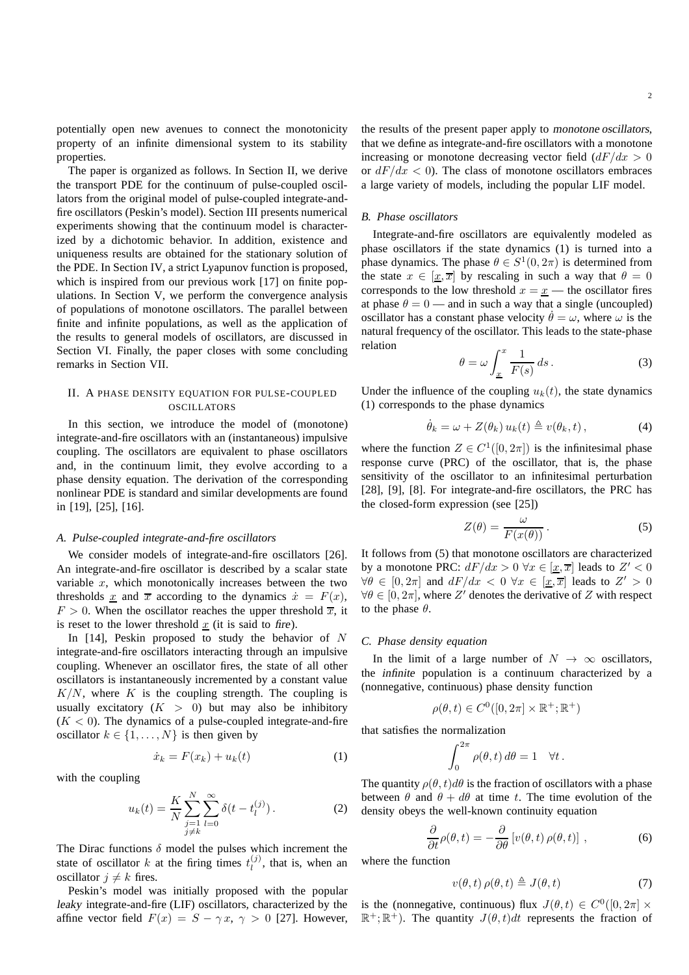potentially open new avenues to connect the monotonicity property of an infinite dimensional system to its stability properties.

The paper is organized as follows. In Section II, we derive the transport PDE for the continuum of pulse-coupled oscillators from the original model of pulse-coupled integrate-andfire oscillators (Peskin's model). Section III presents numerical experiments showing that the continuum model is characterized by a dichotomic behavior. In addition, existence and uniqueness results are obtained for the stationary solution of the PDE. In Section IV, a strict Lyapunov function is proposed, which is inspired from our previous work [17] on finite populations. In Section V, we perform the convergence analysis of populations of monotone oscillators. The parallel between finite and infinite populations, as well as the application of the results to general models of oscillators, are discussed in Section VI. Finally, the paper closes with some concluding remarks in Section VII.

# II. A PHASE DENSITY EQUATION FOR PULSE-COUPLED OSCILLATORS

In this section, we introduce the model of (monotone) integrate-and-fire oscillators with an (instantaneous) impulsive coupling. The oscillators are equivalent to phase oscillators and, in the continuum limit, they evolve according to a phase density equation. The derivation of the corresponding nonlinear PDE is standard and similar developments are found in [19], [25], [16].

### *A. Pulse-coupled integrate-and-fire oscillators*

We consider models of integrate-and-fire oscillators [26]. An integrate-and-fire oscillator is described by a scalar state variable  $x$ , which monotonically increases between the two thresholds x and  $\overline{x}$  according to the dynamics  $\dot{x} = F(x)$ ,  $F > 0$ . When the oscillator reaches the upper threshold  $\overline{x}$ , it is reset to the lower threshold  $x$  (it is said to fire).

In  $[14]$ , Peskin proposed to study the behavior of N integrate-and-fire oscillators interacting through an impulsive coupling. Whenever an oscillator fires, the state of all other oscillators is instantaneously incremented by a constant value  $K/N$ , where K is the coupling strength. The coupling is usually excitatory  $(K > 0)$  but may also be inhibitory  $(K < 0)$ . The dynamics of a pulse-coupled integrate-and-fire oscillator  $k \in \{1, \ldots, N\}$  is then given by

$$
\dot{x}_k = F(x_k) + u_k(t) \tag{1}
$$

with the coupling

$$
u_k(t) = \frac{K}{N} \sum_{\substack{j=1 \ j \neq k}}^N \sum_{l=0}^\infty \delta(t - t_l^{(j)}).
$$
 (2)

The Dirac functions  $\delta$  model the pulses which increment the state of oscillator k at the firing times  $t_l^{(j)}$  $\lambda_l^{(j)}$ , that is, when an oscillator  $j \neq k$  fires.

Peskin's model was initially proposed with the popular leaky integrate-and-fire (LIF) oscillators, characterized by the affine vector field  $F(x) = S - \gamma x, \gamma > 0$  [27]. However, the results of the present paper apply to monotone oscillators, that we define as integrate-and-fire oscillators with a monotone increasing or monotone decreasing vector field  $\left(\frac{dF}{dx}\right) > 0$ or  $dF/dx < 0$ ). The class of monotone oscillators embraces a large variety of models, including the popular LIF model.

#### *B. Phase oscillators*

Integrate-and-fire oscillators are equivalently modeled as phase oscillators if the state dynamics (1) is turned into a phase dynamics. The phase  $\theta \in S^1(0, 2\pi)$  is determined from the state  $x \in [\underline{x}, \overline{x}]$  by rescaling in such a way that  $\theta = 0$ corresponds to the low threshold  $x = \underline{x}$  — the oscillator fires at phase  $\theta = 0$  — and in such a way that a single (uncoupled) oscillator has a constant phase velocity  $\theta = \omega$ , where  $\omega$  is the natural frequency of the oscillator. This leads to the state-phase relation

$$
\theta = \omega \int_{\underline{x}}^{x} \frac{1}{F(s)} ds.
$$
 (3)

Under the influence of the coupling  $u_k(t)$ , the state dynamics (1) corresponds to the phase dynamics

$$
\dot{\theta}_k = \omega + Z(\theta_k) u_k(t) \triangleq v(\theta_k, t), \qquad (4)
$$

where the function  $Z \in C^1([0, 2\pi])$  is the infinitesimal phase response curve (PRC) of the oscillator, that is, the phase sensitivity of the oscillator to an infinitesimal perturbation [28], [9], [8]. For integrate-and-fire oscillators, the PRC has the closed-form expression (see [25])

$$
Z(\theta) = \frac{\omega}{F(x(\theta))}.
$$
 (5)

It follows from (5) that monotone oscillators are characterized by a monotone PRC:  $dF/dx > 0 \,\forall x \in [\underline{x}, \overline{x}]$  leads to  $Z' < 0$  $\forall \theta \in [0, 2\pi]$  and  $dF/dx < 0 \,\forall x \in [\underline{x}, \overline{x}]$  leads to  $Z' > 0$  $\forall \theta \in [0, 2\pi]$ , where Z' denotes the derivative of Z with respect to the phase  $\theta$ .

### *C. Phase density equation*

In the limit of a large number of  $N \to \infty$  oscillators, the infinite population is a continuum characterized by a (nonnegative, continuous) phase density function

$$
\rho(\theta, t) \in C^0([0, 2\pi] \times \mathbb{R}^+; \mathbb{R}^+)
$$

that satisfies the normalization

$$
\int_0^{2\pi} \rho(\theta, t) d\theta = 1 \quad \forall t.
$$

The quantity  $\rho(\theta, t) d\theta$  is the fraction of oscillators with a phase between  $\theta$  and  $\theta + d\theta$  at time t. The time evolution of the density obeys the well-known continuity equation

$$
\frac{\partial}{\partial t}\rho(\theta, t) = -\frac{\partial}{\partial \theta} \left[ v(\theta, t) \rho(\theta, t) \right],\tag{6}
$$

where the function

$$
v(\theta, t) \rho(\theta, t) \triangleq J(\theta, t) \tag{7}
$$

is the (nonnegative, continuous) flux  $J(\theta, t) \in C^0([0, 2\pi] \times$  $\mathbb{R}^+$ ;  $\mathbb{R}^+$ ). The quantity  $J(\theta, t)dt$  represents the fraction of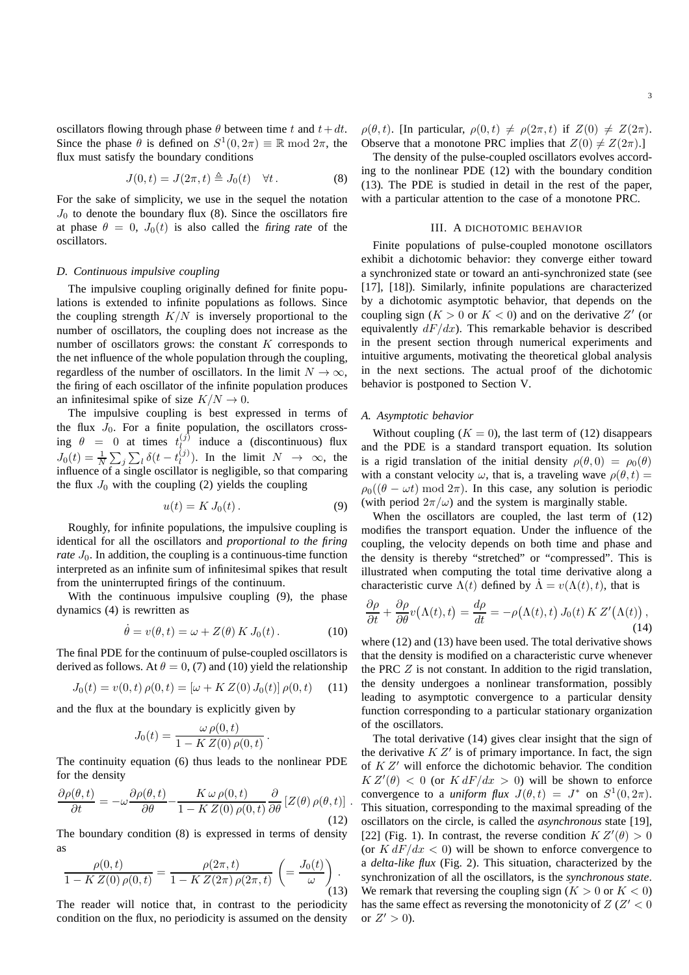oscillators flowing through phase  $\theta$  between time t and  $t+dt$ . Since the phase  $\hat{\theta}$  is defined on  $S^1(0, 2\pi) \equiv \mathbb{R} \mod 2\pi$ , the flux must satisfy the boundary conditions

$$
J(0,t) = J(2\pi, t) \triangleq J_0(t) \quad \forall t.
$$
 (8)

For the sake of simplicity, we use in the sequel the notation  $J_0$  to denote the boundary flux (8). Since the oscillators fire at phase  $\theta = 0$ ,  $J_0(t)$  is also called the firing rate of the oscillators.

# *D. Continuous impulsive coupling*

The impulsive coupling originally defined for finite populations is extended to infinite populations as follows. Since the coupling strength  $K/N$  is inversely proportional to the number of oscillators, the coupling does not increase as the number of oscillators grows: the constant  $K$  corresponds to the net influence of the whole population through the coupling, regardless of the number of oscillators. In the limit  $N \to \infty$ , the firing of each oscillator of the infinite population produces an infinitesimal spike of size  $K/N \to 0$ .

The impulsive coupling is best expressed in terms of the flux  $J_0$ . For a finite population, the oscillators crossing  $\theta = 0$  at times  $t_l^{(j)}$  $\ell_{\ell}^{(j)}$  induce a (discontinuous) flux  $J_0(t) = \frac{1}{N} \sum_j \sum_l \delta(t - t_l^{(j)})$  $\binom{1}{l}$ . In the limit  $N \rightarrow \infty$ , the influence of a single oscillator is negligible, so that comparing the flux  $J_0$  with the coupling (2) yields the coupling

$$
u(t) = K J_0(t). \tag{9}
$$

Roughly, for infinite populations, the impulsive coupling is identical for all the oscillators and *proportional to the firing rate*  $J_0$ . In addition, the coupling is a continuous-time function interpreted as an infinite sum of infinitesimal spikes that result from the uninterrupted firings of the continuum.

With the continuous impulsive coupling (9), the phase dynamics (4) is rewritten as

$$
\dot{\theta} = v(\theta, t) = \omega + Z(\theta) \, K \, J_0(t) \,. \tag{10}
$$

.

The final PDE for the continuum of pulse-coupled oscillators is derived as follows. At  $\theta = 0$ , (7) and (10) yield the relationship

$$
J_0(t) = v(0, t) \rho(0, t) = [\omega + K Z(0) J_0(t)] \rho(0, t) \quad (11)
$$

and the flux at the boundary is explicitly given by

$$
J_0(t) = \frac{\omega \rho(0, t)}{1 - K Z(0) \rho(0, t)}
$$

The continuity equation (6) thus leads to the nonlinear PDE for the density

$$
\frac{\partial \rho(\theta, t)}{\partial t} = -\omega \frac{\partial \rho(\theta, t)}{\partial \theta} - \frac{K \omega \rho(0, t)}{1 - K Z(0) \rho(0, t)} \frac{\partial}{\partial \theta} \left[ Z(\theta) \rho(\theta, t) \right].
$$
\n(12)

The boundary condition (8) is expressed in terms of density as

$$
\frac{\rho(0,t)}{1 - K Z(0) \rho(0,t)} = \frac{\rho(2\pi, t)}{1 - K Z(2\pi) \rho(2\pi, t)} \left( = \frac{J_0(t)}{\omega} \right).
$$
\n(13)

The reader will notice that, in contrast to the periodicity condition on the flux, no periodicity is assumed on the density  $\rho(\theta, t)$ . [In particular,  $\rho(0, t) \neq \rho(2\pi, t)$  if  $Z(0) \neq Z(2\pi)$ . Observe that a monotone PRC implies that  $Z(0) \neq Z(2\pi)$ .]

The density of the pulse-coupled oscillators evolves according to the nonlinear PDE (12) with the boundary condition (13). The PDE is studied in detail in the rest of the paper, with a particular attention to the case of a monotone PRC.

#### III. A DICHOTOMIC BEHAVIOR

Finite populations of pulse-coupled monotone oscillators exhibit a dichotomic behavior: they converge either toward a synchronized state or toward an anti-synchronized state (see [17], [18]). Similarly, infinite populations are characterized by a dichotomic asymptotic behavior, that depends on the coupling sign ( $K > 0$  or  $K < 0$ ) and on the derivative Z' (or equivalently  $dF/dx$ ). This remarkable behavior is described in the present section through numerical experiments and intuitive arguments, motivating the theoretical global analysis in the next sections. The actual proof of the dichotomic behavior is postponed to Section V.

## *A. Asymptotic behavior*

Without coupling  $(K = 0)$ , the last term of (12) disappears and the PDE is a standard transport equation. Its solution is a rigid translation of the initial density  $\rho(\theta, 0) = \rho_0(\theta)$ with a constant velocity  $\omega$ , that is, a traveling wave  $\rho(\theta, t) =$  $\rho_0((\theta - \omega t) \mod 2\pi)$ . In this case, any solution is periodic (with period  $2\pi/\omega$ ) and the system is marginally stable.

When the oscillators are coupled, the last term of  $(12)$ modifies the transport equation. Under the influence of the coupling, the velocity depends on both time and phase and the density is thereby "stretched" or "compressed". This is illustrated when computing the total time derivative along a characteristic curve  $\Lambda(t)$  defined by  $\Lambda = v(\Lambda(t), t)$ , that is

$$
\frac{\partial \rho}{\partial t} + \frac{\partial \rho}{\partial \theta} v(\Lambda(t), t) = \frac{d\rho}{dt} = -\rho(\Lambda(t), t) J_0(t) K Z'(\Lambda(t)),
$$
\n(14)

where (12) and (13) have been used. The total derivative shows that the density is modified on a characteristic curve whenever the PRC Z is not constant. In addition to the rigid translation, the density undergoes a nonlinear transformation, possibly leading to asymptotic convergence to a particular density function corresponding to a particular stationary organization of the oscillators.

The total derivative (14) gives clear insight that the sign of the derivative  $KZ'$  is of primary importance. In fact, the sign of K Z′ will enforce the dichotomic behavior. The condition  $K Z'(\theta) < 0$  (or  $K dF/dx > 0$ ) will be shown to enforce convergence to a *uniform flux*  $J(\theta, t) = J^*$  on  $S^1(0, 2\pi)$ . This situation, corresponding to the maximal spreading of the oscillators on the circle, is called the *asynchronous* state [19], [22] (Fig. 1). In contrast, the reverse condition  $K Z'(\theta) > 0$ (or  $K dF/dx < 0$ ) will be shown to enforce convergence to a *delta-like flux* (Fig. 2). This situation, characterized by the synchronization of all the oscillators, is the *synchronous state*. We remark that reversing the coupling sign  $(K > 0$  or  $K < 0$ ) has the same effect as reversing the monotonicity of  $Z(Z' < 0)$ or  $Z' > 0$ ).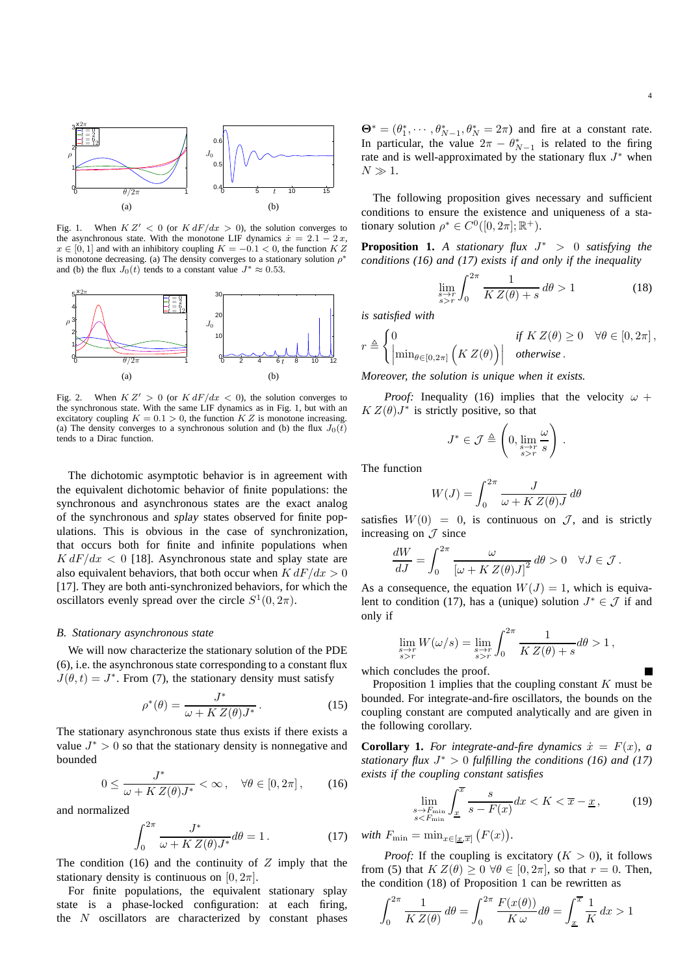

Fig. 1. When  $K Z' < 0$  (or  $K dF/dx > 0$ ), the solution converges to the asynchronous state. With the monotone LIF dynamics  $\dot{x} = 2.1 - 2x$ ,  $x \in [0, 1]$  and with an inhibitory coupling  $K = -0.1 < 0$ , the function K Z is monotone decreasing. (a) The density converges to a stationary solution  $\rho^*$ and (b) the flux  $J_0(t)$  tends to a constant value  $J^* \approx 0.53$ .



Fig. 2. When  $K Z' > 0$  (or  $K dF/dx < 0$ ), the solution converges to the synchronous state. With the same LIF dynamics as in Fig. 1, but with an excitatory coupling  $K = 0.1 > 0$ , the function  $K Z$  is monotone increasing. (a) The density converges to a synchronous solution and (b) the flux  $J_0(t)$ tends to a Dirac function.

The dichotomic asymptotic behavior is in agreement with the equivalent dichotomic behavior of finite populations: the synchronous and asynchronous states are the exact analog of the synchronous and splay states observed for finite populations. This is obvious in the case of synchronization, that occurs both for finite and infinite populations when  $K dF/dx < 0$  [18]. Asynchronous state and splay state are also equivalent behaviors, that both occur when  $K dF/dx > 0$ [17]. They are both anti-synchronized behaviors, for which the oscillators evenly spread over the circle  $S^1(0, 2\pi)$ .

#### *B. Stationary asynchronous state*

We will now characterize the stationary solution of the PDE (6), i.e. the asynchronous state corresponding to a constant flux  $J(\theta, t) = J^*$ . From (7), the stationary density must satisfy

$$
\rho^*(\theta) = \frac{J^*}{\omega + K Z(\theta) J^*}.
$$
\n(15)

The stationary asynchronous state thus exists if there exists a value  $J^* > 0$  so that the stationary density is nonnegative and bounded

$$
0 \le \frac{J^*}{\omega + K Z(\theta) J^*} < \infty \,, \quad \forall \theta \in [0, 2\pi] \,, \tag{16}
$$

and normalized

$$
\int_0^{2\pi} \frac{J^*}{\omega + K Z(\theta) J^*} d\theta = 1.
$$
 (17)

The condition (16) and the continuity of  $Z$  imply that the stationary density is continuous on  $[0, 2\pi]$ .

For finite populations, the equivalent stationary splay state is a phase-locked configuration: at each firing, the  $N$  oscillators are characterized by constant phases

 $\mathbf{\Theta}^* = (\theta_1^*, \cdots, \theta_{N-1}^*, \theta_N^* = 2\pi)$  and fire at a constant rate. In particular, the value  $2\pi - \theta_{N-1}^*$  is related to the firing rate and is well-approximated by the stationary flux  $J^*$  when  $N \gg 1$ .

The following proposition gives necessary and sufficient conditions to ensure the existence and uniqueness of a stationary solution  $\rho^* \in C^0([0, 2\pi]; \mathbb{R}^+).$ 

**Proposition 1.** *A stationary flux* J <sup>∗</sup> > 0 *satisfying the conditions (16) and (17) exists if and only if the inequality*

$$
\lim_{\substack{s \to r \\ s > r}} \int_0^{2\pi} \frac{1}{K Z(\theta) + s} \, d\theta > 1 \tag{18}
$$

*is satisfied with*

$$
r \triangleq \begin{cases} 0 & \text{if } K Z(\theta) \ge 0 \quad \forall \theta \in [0, 2\pi], \\ \left| \min_{\theta \in [0, 2\pi]} \left( K Z(\theta) \right) \right| & otherwise. \end{cases}
$$

*Moreover, the solution is unique when it exists.*

*Proof:* Inequality (16) implies that the velocity  $\omega$  +  $KZ(\theta)J^*$  is strictly positive, so that

$$
J^* \in \mathcal{J} \triangleq \left(0, \lim_{\substack{s \to r \\ s>r}} \frac{\omega}{s}\right).
$$

The function

$$
W(J) = \int_0^{2\pi} \frac{J}{\omega + K Z(\theta)J} d\theta
$$

satisfies  $W(0) = 0$ , is continuous on  $\mathcal{J}$ , and is strictly increasing on  $\mathcal J$  since

$$
\frac{dW}{dJ} = \int_0^{2\pi} \frac{\omega}{\left[\omega + K Z(\theta)J\right]^2} d\theta > 0 \quad \forall J \in \mathcal{J}.
$$

As a consequence, the equation  $W(J) = 1$ , which is equivalent to condition (17), has a (unique) solution  $J^* \in \mathcal{J}$  if and only if

$$
\lim_{\substack{s \to r \\ s>r}} W(\omega/s) = \lim_{\substack{s \to r \\ s>r}} \int_0^{2\pi} \frac{1}{K Z(\theta) + s} d\theta > 1,
$$

which concludes the proof.

Proposition 1 implies that the coupling constant  $K$  must be bounded. For integrate-and-fire oscillators, the bounds on the coupling constant are computed analytically and are given in the following corollary.

**Corollary 1.** For integrate-and-fire dynamics  $\dot{x} = F(x)$ , a *stationary flux* J <sup>∗</sup> > 0 *fulfilling the conditions (16) and (17) exists if the coupling constant satisfies*

$$
\lim_{\substack{s \to F_{\min} \\ s < F_{\min}}} \int_{\underline{x}}^{\overline{x}} \frac{s}{s - F(x)} dx < K < \overline{x} - \underline{x},\tag{19}
$$

*with*  $F_{\min} = \min_{x \in [\underline{x}, \overline{x}]} (F(x)).$ 

*Proof:* If the coupling is excitatory  $(K > 0)$ , it follows from (5) that  $K Z(\theta) \geq 0 \ \forall \theta \in [0, 2\pi]$ , so that  $r = 0$ . Then, the condition (18) of Proposition 1 can be rewritten as

$$
\int_0^{2\pi} \frac{1}{K Z(\theta)} d\theta = \int_0^{2\pi} \frac{F(x(\theta))}{K \omega} d\theta = \int_{\underline{x}}^{\overline{x}} \frac{1}{K} dx > 1
$$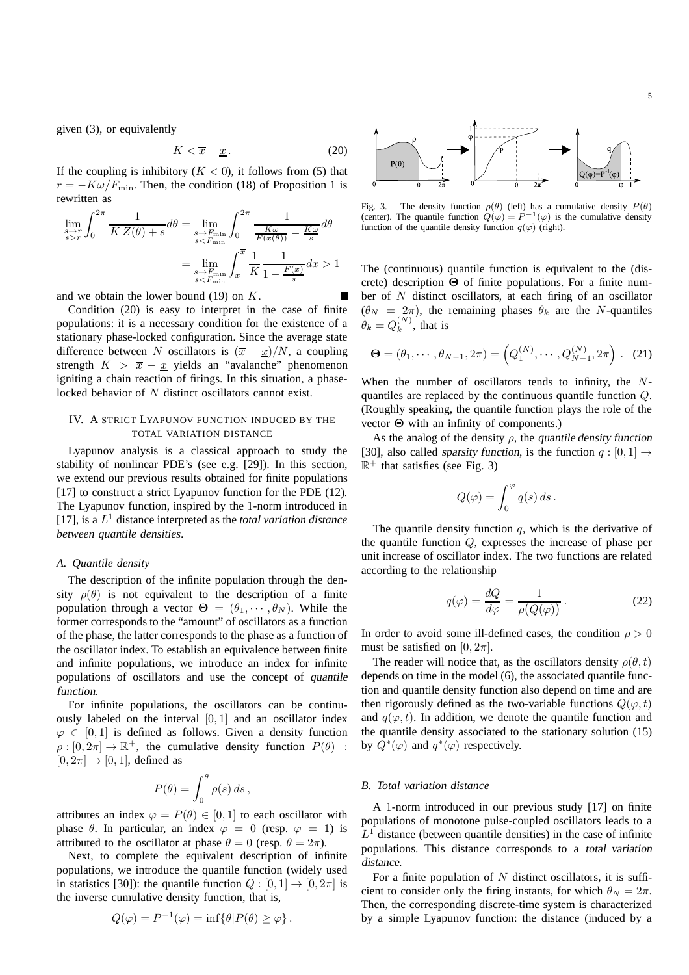given (3), or equivalently

$$
K < \overline{x} - \underline{x} \tag{20}
$$

If the coupling is inhibitory  $(K < 0)$ , it follows from (5) that  $r = -K\omega/F_{\text{min}}$ . Then, the condition (18) of Proposition 1 is rewritten as

$$
\lim_{\substack{s \to r \\ s > r}} \int_0^{2\pi} \frac{1}{K Z(\theta) + s} d\theta = \lim_{\substack{s \to F_{\min} \\ s < F_{\min}}} \int_0^{2\pi} \frac{1}{\frac{K \omega}{F(x(\theta))} - \frac{K \omega}{s}} d\theta
$$

$$
= \lim_{\substack{s \to F_{\min} \\ s < F_{\min}}} \int_{\underline{x}}^{\overline{x}} \frac{1}{K} \frac{1}{1 - \frac{F(x)}{s}} dx > 1
$$

and we obtain the lower bound  $(19)$  on K.

Condition (20) is easy to interpret in the case of finite populations: it is a necessary condition for the existence of a stationary phase-locked configuration. Since the average state difference between N oscillators is  $(\overline{x} - \underline{x})/N$ , a coupling strength  $K > \overline{x} - \underline{x}$  yields an "avalanche" phenomenon igniting a chain reaction of firings. In this situation, a phaselocked behavior of N distinct oscillators cannot exist.

# IV. A STRICT LYAPUNOV FUNCTION INDUCED BY THE TOTAL VARIATION DISTANCE

Lyapunov analysis is a classical approach to study the stability of nonlinear PDE's (see e.g. [29]). In this section, we extend our previous results obtained for finite populations [17] to construct a strict Lyapunov function for the PDE (12). The Lyapunov function, inspired by the 1-norm introduced in [17], is a L <sup>1</sup> distance interpreted as the *total variation distance between quantile densities*.

# *A. Quantile density*

The description of the infinite population through the density  $\rho(\theta)$  is not equivalent to the description of a finite population through a vector  $\Theta = (\theta_1, \dots, \theta_N)$ . While the former corresponds to the "amount" of oscillators as a function of the phase, the latter corresponds to the phase as a function of the oscillator index. To establish an equivalence between finite and infinite populations, we introduce an index for infinite populations of oscillators and use the concept of quantile function.

For infinite populations, the oscillators can be continuously labeled on the interval [0, 1] and an oscillator index  $\varphi \in [0, 1]$  is defined as follows. Given a density function  $\rho: [0, 2\pi] \to \mathbb{R}^+$ , the cumulative density function  $P(\theta)$ :  $[0, 2\pi] \rightarrow [0, 1]$ , defined as

$$
P(\theta) = \int_0^{\theta} \rho(s) \, ds \,,
$$

attributes an index  $\varphi = P(\theta) \in [0, 1]$  to each oscillator with phase  $\theta$ . In particular, an index  $\varphi = 0$  (resp.  $\varphi = 1$ ) is attributed to the oscillator at phase  $\theta = 0$  (resp.  $\theta = 2\pi$ ).

Next, to complete the equivalent description of infinite populations, we introduce the quantile function (widely used in statistics [30]): the quantile function  $Q : [0, 1] \rightarrow [0, 2\pi]$  is the inverse cumulative density function, that is,

$$
Q(\varphi) = P^{-1}(\varphi) = \inf \{ \theta | P(\theta) \ge \varphi \} .
$$



Fig. 3. The density function  $\rho(\theta)$  (left) has a cumulative density  $P(\theta)$  (center). The quantile function  $Q(\varphi) = P^{-1}(\varphi)$  is the cumulative density function of the quantile density function  $q(\varphi)$  (right).

The (continuous) quantile function is equivalent to the (discrete) description  $\Theta$  of finite populations. For a finite number of N distinct oscillators, at each firing of an oscillator  $(\theta_N = 2\pi)$ , the remaining phases  $\theta_k$  are the N-quantiles  $\theta_k = Q_k^{(N)}$  $k^{(N)}$ , that is

$$
\mathbf{\Theta} = (\theta_1, \cdots, \theta_{N-1}, 2\pi) = \left( Q_1^{(N)}, \cdots, Q_{N-1}^{(N)}, 2\pi \right). \tag{21}
$$

When the number of oscillators tends to infinity, the Nquantiles are replaced by the continuous quantile function Q. (Roughly speaking, the quantile function plays the role of the vector Θ with an infinity of components.)

As the analog of the density  $\rho$ , the quantile density function [30], also called sparsity function, is the function  $q : [0, 1] \rightarrow$  $\mathbb{R}^+$  that satisfies (see Fig. 3)

$$
Q(\varphi)=\int_0^\varphi q(s)\,ds\,.
$$

The quantile density function  $q$ , which is the derivative of the quantile function  $Q$ , expresses the increase of phase per unit increase of oscillator index. The two functions are related according to the relationship

$$
q(\varphi) = \frac{dQ}{d\varphi} = \frac{1}{\rho(Q(\varphi))}.
$$
 (22)

In order to avoid some ill-defined cases, the condition  $\rho > 0$ must be satisfied on  $[0, 2\pi]$ .

The reader will notice that, as the oscillators density  $\rho(\theta, t)$ depends on time in the model (6), the associated quantile function and quantile density function also depend on time and are then rigorously defined as the two-variable functions  $Q(\varphi, t)$ and  $q(\varphi, t)$ . In addition, we denote the quantile function and the quantile density associated to the stationary solution (15) by  $Q^*(\varphi)$  and  $q^*(\varphi)$  respectively.

## *B. Total variation distance*

A 1-norm introduced in our previous study [17] on finite populations of monotone pulse-coupled oscillators leads to a  $L<sup>1</sup>$  distance (between quantile densities) in the case of infinite populations. This distance corresponds to a total variation distance.

For a finite population of  $N$  distinct oscillators, it is sufficient to consider only the firing instants, for which  $\theta_N = 2\pi$ . Then, the corresponding discrete-time system is characterized by a simple Lyapunov function: the distance (induced by a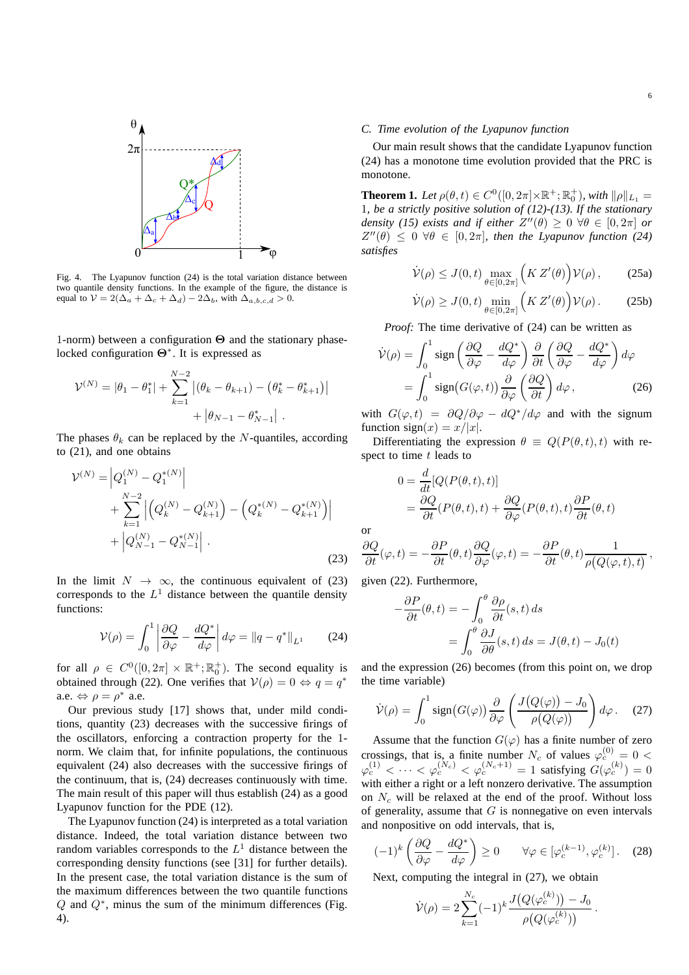

Fig. 4. The Lyapunov function (24) is the total variation distance between two quantile density functions. In the example of the figure, the distance is equal to  $\mathcal{V} = 2(\Delta_a + \Delta_c + \Delta_d) - 2\Delta_b$ , with  $\Delta_{a,b,c,d} > 0$ .

1-norm) between a configuration Θ and the stationary phaselocked configuration  $Θ^*$ . It is expressed as

$$
\mathcal{V}^{(N)} = |\theta_1 - \theta_1^*| + \sum_{k=1}^{N-2} |(\theta_k - \theta_{k+1}) - (\theta_k^* - \theta_{k+1}^*)|
$$
  
+  $|\theta_{N-1} - \theta_{N-1}^*|$ .

The phases  $\theta_k$  can be replaced by the N-quantiles, according to (21), and one obtains

$$
\mathcal{V}^{(N)} = \left| Q_1^{(N)} - Q_1^{*(N)} \right|
$$
  
+ 
$$
\sum_{k=1}^{N-2} \left| \left( Q_k^{(N)} - Q_{k+1}^{(N)} \right) - \left( Q_k^{*(N)} - Q_{k+1}^{*(N)} \right) \right|
$$
  
+ 
$$
\left| Q_{N-1}^{(N)} - Q_{N-1}^{*(N)} \right| .
$$
 (23)

In the limit  $N \to \infty$ , the continuous equivalent of (23) corresponds to the  $L^1$  distance between the quantile density functions:

$$
\mathcal{V}(\rho) = \int_0^1 \left| \frac{\partial Q}{\partial \varphi} - \frac{dQ^*}{d\varphi} \right| d\varphi = \|q - q^*\|_{L^1} \qquad (24)
$$

for all  $\rho \in C^0([0, 2\pi] \times \mathbb{R}^+; \mathbb{R}_0^+)$ . The second equality is obtained through (22). One verifies that  $V(\rho) = 0 \Leftrightarrow q = q^*$ a.e.  $\Leftrightarrow \rho = \rho^*$  a.e.

Our previous study [17] shows that, under mild conditions, quantity (23) decreases with the successive firings of the oscillators, enforcing a contraction property for the 1 norm. We claim that, for infinite populations, the continuous equivalent (24) also decreases with the successive firings of the continuum, that is, (24) decreases continuously with time. The main result of this paper will thus establish (24) as a good Lyapunov function for the PDE (12).

The Lyapunov function (24) is interpreted as a total variation distance. Indeed, the total variation distance between two random variables corresponds to the  $L<sup>1</sup>$  distance between the corresponding density functions (see [31] for further details). In the present case, the total variation distance is the sum of the maximum differences between the two quantile functions  $Q$  and  $Q^*$ , minus the sum of the minimum differences (Fig. 4).

## *C. Time evolution of the Lyapunov function*

Our main result shows that the candidate Lyapunov function (24) has a monotone time evolution provided that the PRC is monotone.

**Theorem 1.** Let  $\rho(\theta, t) \in C^0([0, 2\pi] \times \mathbb{R}^+; \mathbb{R}_0^+)$ , with  $\|\rho\|_{L_1} =$ 1*, be a strictly positive solution of (12)-(13). If the stationary density (15) exists and if either*  $Z''(\theta) \geq 0 \ \forall \theta \in [0, 2\pi]$  *or*  $Z''(\theta) \leq 0 \ \forall \theta \in [0, 2\pi]$ , then the Lyapunov function (24) *satisfies*

$$
\dot{\mathcal{V}}(\rho) \le J(0, t) \max_{\theta \in [0, 2\pi]} \left( K Z'(\theta) \right) \mathcal{V}(\rho), \tag{25a}
$$

$$
\dot{\mathcal{V}}(\rho) \ge J(0, t) \min_{\theta \in [0, 2\pi]} \left( K Z'(\theta) \right) \mathcal{V}(\rho).
$$
 (25b)

*Proof:* The time derivative of (24) can be written as

$$
\dot{\mathcal{V}}(\rho) = \int_0^1 \text{sign}\left(\frac{\partial Q}{\partial \varphi} - \frac{dQ^*}{d\varphi}\right) \frac{\partial}{\partial t} \left(\frac{\partial Q}{\partial \varphi} - \frac{dQ^*}{d\varphi}\right) d\varphi
$$

$$
= \int_0^1 \text{sign}(G(\varphi, t)) \frac{\partial}{\partial \varphi} \left(\frac{\partial Q}{\partial t}\right) d\varphi, \qquad (26)
$$

with  $G(\varphi, t) = \frac{\partial Q}{\partial \varphi} - \frac{dQ^*}{d\varphi}$  and with the signum function  $sign(x) = x/|x|$ .

Differentiating the expression  $\theta \equiv Q(P(\theta, t), t)$  with respect to time  $t$  leads to

$$
0 = \frac{d}{dt} [Q(P(\theta, t), t)]
$$
  
=  $\frac{\partial Q}{\partial t} (P(\theta, t), t) + \frac{\partial Q}{\partial \varphi} (P(\theta, t), t) \frac{\partial P}{\partial t} (\theta, t)$ 

or

$$
\frac{\partial Q}{\partial t}(\varphi, t) = -\frac{\partial P}{\partial t}(\theta, t) \frac{\partial Q}{\partial \varphi}(\varphi, t) = -\frac{\partial P}{\partial t}(\theta, t) \frac{1}{\rho(Q(\varphi, t), t)},
$$

given (22). Furthermore,

−

$$
\frac{\partial P}{\partial t}(\theta, t) = -\int_0^{\theta} \frac{\partial \rho}{\partial t}(s, t) ds
$$

$$
= \int_0^{\theta} \frac{\partial J}{\partial \theta}(s, t) ds = J(\theta, t) - J_0(t)
$$

and the expression (26) becomes (from this point on, we drop the time variable)

$$
\dot{\mathcal{V}}(\rho) = \int_0^1 \text{sign}(G(\varphi)) \frac{\partial}{\partial \varphi} \left( \frac{J(Q(\varphi)) - J_0}{\rho(Q(\varphi))} \right) d\varphi. \quad (27)
$$

Assume that the function  $G(\varphi)$  has a finite number of zero crossings, that is, a finite number  $N_c$  of values  $\varphi_c^{(0)} = 0$  <  $\varphi_c^{(1)} < \cdots < \varphi_c^{(N_c)} < \varphi_c^{(N_c+1)} = 1$  satisfying  $G(\varphi_c^{(k)}) = 0$ with either a right or a left nonzero derivative. The assumption on  $N_c$  will be relaxed at the end of the proof. Without loss of generality, assume that  $G$  is nonnegative on even intervals and nonpositive on odd intervals, that is,

$$
(-1)^k \left( \frac{\partial Q}{\partial \varphi} - \frac{dQ^*}{d\varphi} \right) \ge 0 \qquad \forall \varphi \in [\varphi_c^{(k-1)}, \varphi_c^{(k)}]. \tag{28}
$$

Next, computing the integral in (27), we obtain

$$
\dot{\mathcal{V}}(\rho) = 2 \sum_{k=1}^{N_c} (-1)^k \frac{J(Q(\varphi_c^{(k)})) - J_0}{\rho(Q(\varphi_c^{(k)}))}.
$$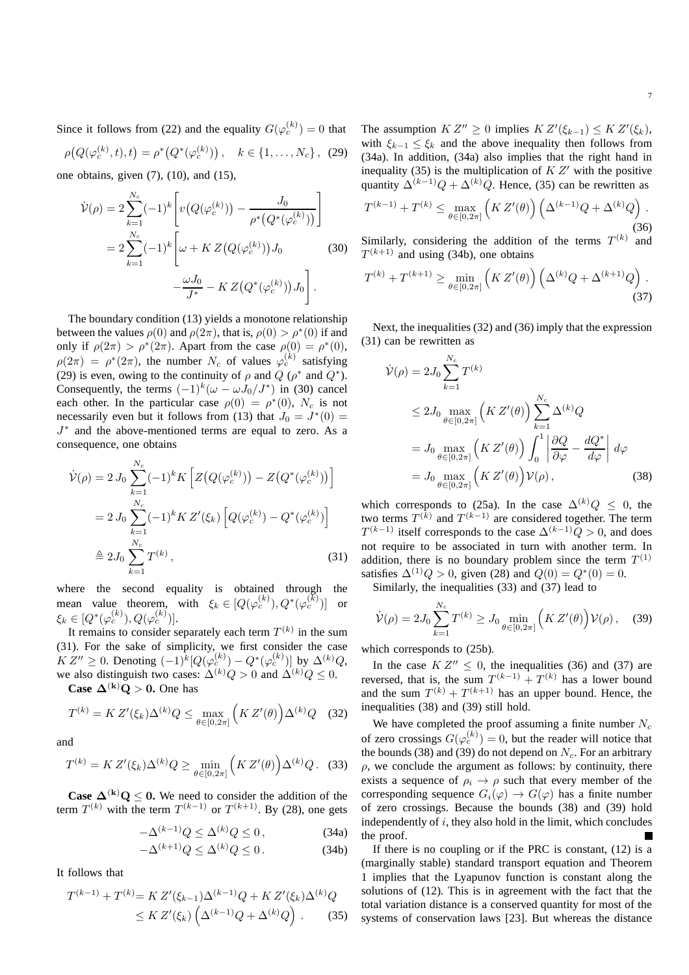7

Since it follows from (22) and the equality  $G(\varphi_c^{(k)}) = 0$  that

$$
\rho\big(Q(\varphi_c^{(k)},t),t\big) = \rho^*\big(Q^*(\varphi_c^{(k)})\big), \quad k \in \{1,\ldots,N_c\},\tag{29}
$$

one obtains, given  $(7)$ ,  $(10)$ , and  $(15)$ ,

$$
\dot{\mathcal{V}}(\rho) = 2 \sum_{k=1}^{N_c} (-1)^k \left[ v \left( Q(\varphi_c^{(k)}) \right) - \frac{J_0}{\rho^* \left( Q^*(\varphi_c^{(k)}) \right)} \right]
$$
  
= 
$$
2 \sum_{k=1}^{N_c} (-1)^k \left[ \omega + K Z \left( Q(\varphi_c^{(k)}) \right) J_0 \right]
$$
(30)  

$$
-\frac{\omega J_0}{J^*} - K Z \left( Q^*(\varphi_c^{(k)}) \right) J_0 \right].
$$

The boundary condition (13) yields a monotone relationship between the values  $\rho(0)$  and  $\rho(2\pi)$ , that is,  $\rho(0) > \rho^*(0)$  if and only if  $\rho(2\pi) > \rho^*(2\pi)$ . Apart from the case  $\rho(0) = \rho^*(0)$ ,  $\rho(2\pi) = \rho^*(2\pi)$ , the number  $N_c$  of values  $\varphi_c^{(k)}$  satisfying (29) is even, owing to the continuity of  $\rho$  and  $Q$  ( $\rho^*$  and  $Q^*$ ). Consequently, the terms  $(-1)^k(\omega - \omega J_0/J^*)$  in (30) cancel each other. In the particular case  $\rho(0) = \rho^*(0)$ ,  $N_c$  is not necessarily even but it follows from (13) that  $J_0 = J^*(0) =$ J ∗ and the above-mentioned terms are equal to zero. As a consequence, one obtains

$$
\dot{\mathcal{V}}(\rho) = 2 J_0 \sum_{k=1}^{N_c} (-1)^k K \left[ Z \big( Q(\varphi_c^{(k)}) \big) - Z \big( Q^*(\varphi_c^{(k)}) \big) \right]
$$
  
= 
$$
2 J_0 \sum_{k=1}^{N_c} (-1)^k K Z'(\xi_k) \left[ Q(\varphi_c^{(k)}) - Q^*(\varphi_c^{(k)}) \right]
$$
  

$$
\triangleq 2 J_0 \sum_{k=1}^{N_c} T^{(k)},
$$
 (31)

where the second equality is obtained through the mean value theorem, with  $\xi_k \in [Q(\varphi_c^{(k)}), Q^*(\varphi_c^{(k)})]$  or  $\xi_k \in [Q^*(\varphi_c^{(k)}), Q(\varphi_c^{(k)})].$ 

It remains to consider separately each term  $T^{(k)}$  in the sum (31). For the sake of simplicity, we first consider the case  $K Z'' \geq 0$ . Denoting  $(-1)^{\tilde{k}} [Q(\varphi_c^{(k)}) - Q^*(\varphi_c^{(k)})]$  by  $\Delta^{(k)} Q$ , we also distinguish two cases:  $\Delta^{(k)}Q > 0$  and  $\Delta^{(k)}Q \leq 0$ .

**Case**  $\Delta^{(k)}Q > 0$ **.** One has

$$
T^{(k)} = K Z'(\xi_k) \Delta^{(k)} Q \le \max_{\theta \in [0, 2\pi]} \left( K Z'(\theta) \right) \Delta^{(k)} Q \quad (32)
$$

and

$$
T^{(k)} = K Z'(\xi_k) \Delta^{(k)} Q \ge \min_{\theta \in [0, 2\pi]} \left( K Z'(\theta) \right) \Delta^{(k)} Q. \tag{33}
$$

**Case**  $\Delta^{(k)}Q \leq 0$ . We need to consider the addition of the term  $T^{(k)}$  with the term  $T^{(k-1)}$  or  $T^{(k+1)}$ . By (28), one gets

$$
-\Delta^{(k-1)}Q \le \Delta^{(k)}Q \le 0\,,\tag{34a}
$$

$$
-\Delta^{(k+1)}Q \le \Delta^{(k)}Q \le 0. \tag{34b}
$$

It follows that

$$
T^{(k-1)} + T^{(k)} = K Z'(\xi_{k-1}) \Delta^{(k-1)} Q + K Z'(\xi_k) \Delta^{(k)} Q
$$
  
 
$$
\leq K Z'(\xi_k) \left( \Delta^{(k-1)} Q + \Delta^{(k)} Q \right).
$$
 (35)

The assumption  $K Z'' \ge 0$  implies  $K Z'(\xi_{k-1}) \le K Z'(\xi_k)$ , with  $\xi_{k-1} \leq \xi_k$  and the above inequality then follows from (34a). In addition, (34a) also implies that the right hand in inequality (35) is the multiplication of  $K Z'$  with the positive quantity  $\Delta^{(k-1)}Q + \Delta^{(k)}Q$ . Hence, (35) can be rewritten as

$$
T^{(k-1)} + T^{(k)} \le \max_{\theta \in [0, 2\pi]} \left( K Z'(\theta) \right) \left( \Delta^{(k-1)} Q + \Delta^{(k)} Q \right).
$$
\n(36)

\nSimilarly, considering the addition of the terms  $T^{(k)}$  and

Similarly, considering the addition of the terms  $T^{(k)}$  and  $T^{(k+1)}$  and using (34b), one obtains

$$
T^{(k)} + T^{(k+1)} \ge \min_{\theta \in [0, 2\pi]} \left( K Z'(\theta) \right) \left( \Delta^{(k)} Q + \Delta^{(k+1)} Q \right). \tag{37}
$$

Next, the inequalities (32) and (36) imply that the expression (31) can be rewritten as

$$
\dot{\mathcal{V}}(\rho) = 2J_0 \sum_{k=1}^{N_c} T^{(k)}
$$
\n
$$
\leq 2J_0 \max_{\theta \in [0, 2\pi]} \left( K Z'(\theta) \right) \sum_{k=1}^{N_c} \Delta^{(k)} Q
$$
\n
$$
= J_0 \max_{\theta \in [0, 2\pi]} \left( K Z'(\theta) \right) \int_0^1 \left| \frac{\partial Q}{\partial \varphi} - \frac{dQ^*}{d\varphi} \right| d\varphi
$$
\n
$$
= J_0 \max_{\theta \in [0, 2\pi]} \left( K Z'(\theta) \right) \mathcal{V}(\rho), \qquad (38)
$$

which corresponds to (25a). In the case  $\Delta^{(k)}Q \leq 0$ , the two terms  $T^{(k)}$  and  $T^{(k-1)}$  are considered together. The term  $T^{(k-1)}$  itself corresponds to the case  $\Delta^{(k-1)}Q > 0$ , and does not require to be associated in turn with another term. In addition, there is no boundary problem since the term  $T^{(1)}$ satisfies  $\Delta^{(1)}Q > 0$ , given (28) and  $Q(0) = Q^*(0) = 0$ .

Similarly, the inequalities (33) and (37) lead to

$$
\dot{\mathcal{V}}(\rho) = 2J_0 \sum_{k=1}^{N_c} T^{(k)} \geq J_0 \min_{\theta \in [0, 2\pi]} \left( K Z'(\theta) \right) \mathcal{V}(\rho) \,, \quad (39)
$$

which corresponds to (25b).

 $\lambda$ r

In the case  $K Z'' \leq 0$ , the inequalities (36) and (37) are reversed, that is, the sum  $T^{(k-1)} + T^{(k)}$  has a lower bound and the sum  $T^{(k)} + T^{(k+1)}$  has an upper bound. Hence, the inequalities (38) and (39) still hold.

We have completed the proof assuming a finite number  $N_c$ of zero crossings  $G(\varphi_c^{(k)}) = 0$ , but the reader will notice that the bounds (38) and (39) do not depend on  $N_c$ . For an arbitrary  $\rho$ , we conclude the argument as follows: by continuity, there exists a sequence of  $\rho_i \rightarrow \rho$  such that every member of the corresponding sequence  $G_i(\varphi) \to G(\varphi)$  has a finite number of zero crossings. Because the bounds (38) and (39) hold independently of  $i$ , they also hold in the limit, which concludes the proof.

If there is no coupling or if the PRC is constant, (12) is a (marginally stable) standard transport equation and Theorem 1 implies that the Lyapunov function is constant along the solutions of (12). This is in agreement with the fact that the total variation distance is a conserved quantity for most of the systems of conservation laws [23]. But whereas the distance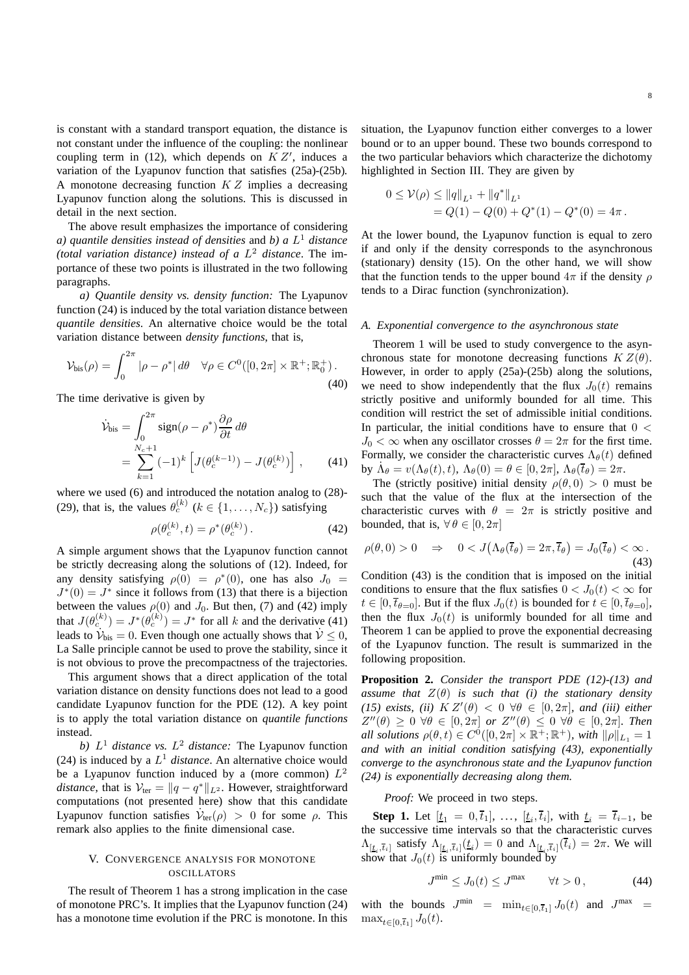is constant with a standard transport equation, the distance is not constant under the influence of the coupling: the nonlinear coupling term in (12), which depends on  $KZ'$ , induces a variation of the Lyapunov function that satisfies (25a)-(25b). A monotone decreasing function  $KZ$  implies a decreasing Lyapunov function along the solutions. This is discussed in detail in the next section.

The above result emphasizes the importance of considering *a) quantile densities instead of densities* and *b) a* L <sup>1</sup> *distance (total variation distance) instead of a* L <sup>2</sup> *distance*. The importance of these two points is illustrated in the two following paragraphs.

*a) Quantile density vs. density function:* The Lyapunov function (24) is induced by the total variation distance between *quantile densities*. An alternative choice would be the total variation distance between *density functions*, that is,

$$
\mathcal{V}_{\text{bis}}(\rho) = \int_0^{2\pi} |\rho - \rho^*| d\theta \quad \forall \rho \in C^0([0, 2\pi] \times \mathbb{R}^+; \mathbb{R}_0^+).
$$
\n(40)

The time derivative is given by

$$
\dot{\mathcal{V}}_{\text{bis}} = \int_0^{2\pi} \text{sign}(\rho - \rho^*) \frac{\partial \rho}{\partial t} d\theta
$$

$$
= \sum_{k=1}^{N_c+1} (-1)^k \left[ J(\theta_c^{(k-1)}) - J(\theta_c^{(k)}) \right], \qquad (41)
$$

where we used (6) and introduced the notation analog to (28)- (29), that is, the values  $\theta_c^{(k)}$  ( $k \in \{1, ..., N_c\}$ ) satisfying

$$
\rho(\theta_c^{(k)}, t) = \rho^*(\theta_c^{(k)}).
$$
\n(42)

A simple argument shows that the Lyapunov function cannot be strictly decreasing along the solutions of (12). Indeed, for any density satisfying  $\rho(0) = \rho^*(0)$ , one has also  $J_0 =$  $J^*(0) = J^*$  since it follows from (13) that there is a bijection between the values  $\rho(0)$  and  $J_0$ . But then, (7) and (42) imply that  $J(\theta_c^{(k)}) = J^*(\theta_c^{(k)}) = J^*$  for all k and the derivative (41) leads to  $\dot{\mathcal{V}}_{\text{bis}} = 0$ . Even though one actually shows that  $\dot{\mathcal{V}} \leq 0$ , La Salle principle cannot be used to prove the stability, since it is not obvious to prove the precompactness of the trajectories.

This argument shows that a direct application of the total variation distance on density functions does not lead to a good candidate Lyapunov function for the PDE (12). A key point is to apply the total variation distance on *quantile functions* instead.

b)  $L^1$  *distance vs.*  $L^2$  *distance:* The Lyapunov function (24) is induced by a  $L^1$  *distance*. An alternative choice would be a Lyapunov function induced by a (more common)  $L^2$ *distance*, that is  $V_{\text{ter}} = ||q - q^*||_{L^2}$ . However, straightforward computations (not presented here) show that this candidate Lyapunov function satisfies  $\dot{\mathcal{V}}_{\text{ter}}(\rho) > 0$  for some  $\rho$ . This remark also applies to the finite dimensional case.

# V. CONVERGENCE ANALYSIS FOR MONOTONE **OSCILLATORS**

The result of Theorem 1 has a strong implication in the case of monotone PRC's. It implies that the Lyapunov function (24) has a monotone time evolution if the PRC is monotone. In this situation, the Lyapunov function either converges to a lower bound or to an upper bound. These two bounds correspond to the two particular behaviors which characterize the dichotomy highlighted in Section III. They are given by

$$
0 \leq \mathcal{V}(\rho) \leq ||q||_{L^1} + ||q^*||_{L^1}
$$
  
=  $Q(1) - Q(0) + Q^*(1) - Q^*(0) = 4\pi$ .

At the lower bound, the Lyapunov function is equal to zero if and only if the density corresponds to the asynchronous (stationary) density (15). On the other hand, we will show that the function tends to the upper bound  $4\pi$  if the density  $\rho$ tends to a Dirac function (synchronization).

## *A. Exponential convergence to the asynchronous state*

Theorem 1 will be used to study convergence to the asynchronous state for monotone decreasing functions  $K Z(\theta)$ . However, in order to apply (25a)-(25b) along the solutions, we need to show independently that the flux  $J_0(t)$  remains strictly positive and uniformly bounded for all time. This condition will restrict the set of admissible initial conditions. In particular, the initial conditions have to ensure that  $0 <$  $J_0 < \infty$  when any oscillator crosses  $\theta = 2\pi$  for the first time. Formally, we consider the characteristic curves  $\Lambda_{\theta}(t)$  defined by  $\dot{\Lambda}_{\theta} = v(\Lambda_{\theta}(t), t), \Lambda_{\theta}(0) = \theta \in [0, 2\pi], \Lambda_{\theta}(\overline{t}_{\theta}) = 2\pi.$ 

The (strictly positive) initial density  $\rho(\theta, 0) > 0$  must be such that the value of the flux at the intersection of the characteristic curves with  $\theta = 2\pi$  is strictly positive and bounded, that is,  $\forall \theta \in [0, 2\pi]$ 

$$
\rho(\theta,0) > 0 \quad \Rightarrow \quad 0 < J\big(\Lambda_\theta(\overline{t}_\theta) = 2\pi, \overline{t}_\theta\big) = J_0(\overline{t}_\theta) < \infty. \tag{43}
$$

Condition (43) is the condition that is imposed on the initial conditions to ensure that the flux satisfies  $0 < J_0(t) < \infty$  for  $t \in [0, \overline{t}_{\theta=0}]$ . But if the flux  $J_0(t)$  is bounded for  $t \in [0, \overline{t}_{\theta=0}]$ , then the flux  $J_0(t)$  is uniformly bounded for all time and Theorem 1 can be applied to prove the exponential decreasing of the Lyapunov function. The result is summarized in the following proposition.

**Proposition 2.** *Consider the transport PDE (12)-(13) and assume that*  $Z(\theta)$  *is such that (i) the stationary density (15) exists, (ii)*  $K Z'(\theta) < 0 \ \forall \theta \in [0, 2\pi]$ *, and (iii) either*  $Z''(\theta) \geq 0 \ \forall \theta \in [0, 2\pi] \ or \ Z''(\theta) \leq 0 \ \forall \theta \in [0, 2\pi] \$ . Then *all solutions*  $\rho(\theta, t) \in C^0([0, 2\pi] \times \mathbb{R}^+; \mathbb{R}^+)$ *, with*  $\|\rho\|_{L_1} = 1$ *and with an initial condition satisfying (43), exponentially converge to the asynchronous state and the Lyapunov function (24) is exponentially decreasing along them.*

*Proof:* We proceed in two steps.

**Step 1.** Let  $[\underline{t}_1 = 0, \overline{t}_1], \ldots, [\underline{t}_i, \overline{t}_i],$  with  $\underline{t}_i = \overline{t}_{i-1}$ , be the successive time intervals so that the characteristic curves  $\Lambda_{[\underline{t}_i,\overline{t}_i]}$  satisfy  $\Lambda_{[\underline{t}_i,\overline{t}_i]}(\underline{t}_i) = 0$  and  $\Lambda_{[\underline{t}_i,\overline{t}_i]}(\overline{t}_i) = 2\pi$ . We will show that  $J_0(t)$  is uniformly bounded by

$$
J^{\min} \le J_0(t) \le J^{\max} \qquad \forall t > 0, \tag{44}
$$

with the bounds  $J^{\min}$  =  $\min_{t \in [0, \overline{t}_1]} J_0(t)$  and  $J^{\max}$  =  $\max_{t\in[0,\overline{t}_1]} J_0(t)$ .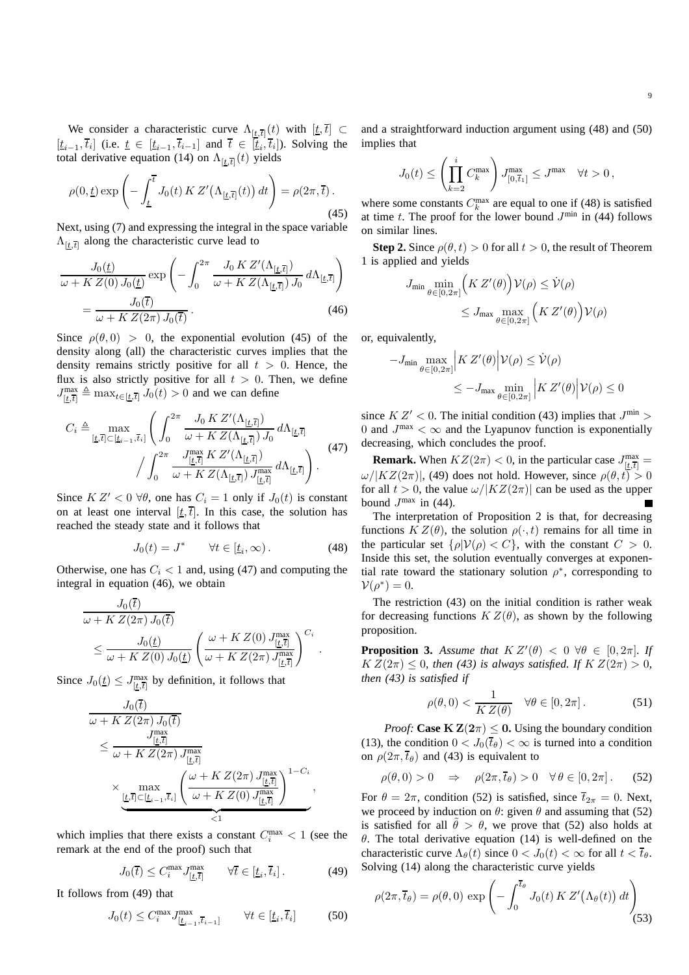We consider a characteristic curve  $\Lambda_{[t,\bar{t}]}(t)$  with  $[t,\bar{t}] \subset$  $[t_{i-1}, \overline{t}_i]$  (i.e.  $\underline{t} \in [\underline{t}_{i-1}, \overline{t}_{i-1}]$  and  $\overline{t} \in [\underline{t}_i, \overline{t}_i]$ ). Solving the total derivative equation (14) on  $\Lambda_{[\underline{t},\overline{t}]}(t)$  yields

$$
\rho(0,\underline{t}) \exp\left(-\int_{\underline{t}}^{\overline{t}} J_0(t) K Z'(\Lambda_{[\underline{t},\overline{t}]}(t)) dt\right) = \rho(2\pi,\overline{t}).
$$
\n(45)

Next, using (7) and expressing the integral in the space variable  $\Lambda_{[\underline{t},\overline{t}]}$  along the characteristic curve lead to

$$
\frac{J_0(\underline{t})}{\omega + K Z(0) J_0(\underline{t})} \exp\left(-\int_0^{2\pi} \frac{J_0 K Z'(\Lambda_{[\underline{t},\overline{t}]})}{\omega + K Z(\Lambda_{[\underline{t},\overline{t}]}) J_0} d\Lambda_{[\underline{t},\overline{t}]}\right)
$$
\n
$$
= \frac{J_0(\overline{t})}{\omega + K Z(2\pi) J_0(\overline{t})}.
$$
\n(46)

Since  $\rho(\theta, 0) > 0$ , the exponential evolution (45) of the density along (all) the characteristic curves implies that the density remains strictly positive for all  $t > 0$ . Hence, the flux is also strictly positive for all  $t > 0$ . Then, we define  $J_{[\underline{t},\overline{t}]}^{\text{max}} \triangleq \max_{t \in [\underline{t},\overline{t}]} J_0(t) > 0$  and we can define

$$
C_{i} \triangleq \max_{[\underline{t},\overline{t}] \subset [\underline{t}_{i-1},\overline{t}_{i}]} \left( \int_{0}^{2\pi} \frac{J_{0} K Z'(\Lambda_{[\underline{t},\overline{t}]})}{\omega + K Z(\Lambda_{[\underline{t},\overline{t}]}) J_{0}} d\Lambda_{[\underline{t},\overline{t}]} \right) \cdot \int_{0}^{2\pi} \frac{J_{[\underline{t},\overline{t}]}^{\max} K Z'(\Lambda_{[\underline{t},\overline{t}]}) J_{0}}{\omega + K Z(\Lambda_{[\underline{t},\overline{t}]}) J_{[\underline{t},\overline{t}]}^{\max}} d\Lambda_{[\underline{t},\overline{t}]} \right). \tag{47}
$$

Since  $K Z' < 0 \ \forall \theta$ , one has  $C_i = 1$  only if  $J_0(t)$  is constant on at least one interval  $[t, \overline{t}]$ . In this case, the solution has reached the steady state and it follows that

$$
J_0(t) = J^* \qquad \forall t \in [\underline{t}_i, \infty). \tag{48}
$$

Otherwise, one has  $C_i < 1$  and, using (47) and computing the integral in equation (46), we obtain

$$
J_0(\bar{t})
$$
  
\n
$$
\omega + K Z(2\pi) J_0(\bar{t})
$$
  
\n
$$
\leq J_0(\underline{t})
$$
  
\n
$$
\omega + K Z(0) J_0(\underline{t}) \left( \frac{\omega + K Z(0) J_{[\underline{t}, \bar{t}]}^{\max}}{\omega + K Z(2\pi) J_{[\underline{t}, \bar{t}]}^{\max}} \right)^{C_i}.
$$

Since  $J_0(\underline{t}) \leq J_{[\underline{t},\overline{t}]}^{\text{max}}$  by definition, it follows that

$$
J_0(\bar{t})
$$
  
\n
$$
\omega + K Z(2\pi) J_0(\bar{t})
$$
  
\n
$$
\leq \frac{J_{[\underline{t},\bar{t}]}^{\max}}{\omega + K Z(2\pi) J_{[\underline{t},\bar{t}]}^{\max}}
$$
  
\n
$$
\times \max_{\underline{[t,\bar{t}]\subset [\underline{t}_{i-1},\bar{t}_i]}} \left(\frac{\omega + K Z(2\pi) J_{[\underline{t},\bar{t}]}^{\max}}{\omega + K Z(0) J_{[\underline{t},\bar{t}]}^{\max}}\right)^{1-C_i},
$$

which implies that there exists a constant  $C_i^{\max} < 1$  (see the remark at the end of the proof) such that

$$
J_0(\bar{t}) \le C_i^{\max} J_{[\underline{t},\overline{t}]}^{\max} \qquad \forall \bar{t} \in [\underline{t}_i,\overline{t}_i]. \tag{49}
$$

It follows from (49) that

$$
J_0(t) \le C_i^{\max} J_{[\underline{t}_{i-1}, \overline{t}_{i-1}]}^{\max} \qquad \forall t \in [\underline{t}_i, \overline{t}_i]
$$
 (50)

and a straightforward induction argument using (48) and (50) implies that

$$
J_0(t) \le \left(\prod_{k=2}^i C_k^{\max}\right) J_{[0,\overline{t}_1]}^{\max} \le J^{\max} \quad \forall t > 0,
$$

where some constants  $C_k^{\max}$  are equal to one if (48) is satisfied at time t. The proof for the lower bound  $J^{\min}$  in (44) follows on similar lines.

**Step 2.** Since  $\rho(\theta, t) > 0$  for all  $t > 0$ , the result of Theorem 1 is applied and yields

$$
J_{\min} \min_{\theta \in [0, 2\pi]} \left( K Z'(\theta) \right) \mathcal{V}(\rho) \leq \dot{\mathcal{V}}(\rho)
$$
  

$$
\leq J_{\max} \max_{\theta \in [0, 2\pi]} \left( K Z'(\theta) \right) \mathcal{V}(\rho)
$$

or, equivalently,

$$
-J_{\min} \max_{\theta \in [0,2\pi]} \left| K Z'(\theta) \middle| \mathcal{V}(\rho) \leq \dot{\mathcal{V}}(\rho) \right|
$$
  

$$
\leq -J_{\max} \min_{\theta \in [0,2\pi]} \left| K Z'(\theta) \middle| \mathcal{V}(\rho) \leq 0 \right|
$$

since  $K Z' < 0$ . The initial condition (43) implies that  $J^{\min} > 0$ 0 and  $J^{\text{max}} < \infty$  and the Lyapunov function is exponentially decreasing, which concludes the proof.

**Remark.** When  $KZ(2\pi) < 0$ , in the particular case  $J_{[\underline{t},\overline{t}]}^{\text{max}} =$  $\omega/|KZ(2\pi)|$ , (49) does not hold. However, since  $\rho(\theta, t) > 0$ for all  $t > 0$ , the value  $\omega / |KZ(2\pi)|$  can be used as the upper bound  $J^{\text{max}}$  in (44).

The interpretation of Proposition 2 is that, for decreasing functions  $K Z(\theta)$ , the solution  $\rho(\cdot, t)$  remains for all time in the particular set  $\{\rho|V(\rho) < C\}$ , with the constant  $C > 0$ . Inside this set, the solution eventually converges at exponential rate toward the stationary solution  $\rho^*$ , corresponding to  $\mathcal{V}(\rho^*)=0.$ 

The restriction (43) on the initial condition is rather weak for decreasing functions  $K Z(\theta)$ , as shown by the following proposition.

**Proposition 3.** *Assume that*  $K Z'(\theta) < 0 \ \forall \theta \in [0, 2\pi]$ *. If*  $K Z(2\pi) \leq 0$ , then (43) is always satisfied. If  $K Z(2\pi) > 0$ , *then (43) is satisfied if*

$$
\rho(\theta,0) < \frac{1}{K Z(\theta)} \quad \forall \theta \in [0, 2\pi]. \tag{51}
$$

*Proof:* **Case**  $K Z(2\pi) \leq 0$ . Using the boundary condition (13), the condition  $0 < J_0(\bar{t}_{\theta}) < \infty$  is turned into a condition on  $\rho(2\pi,\bar{t}_{\theta})$  and (43) is equivalent to

$$
\rho(\theta,0) > 0 \quad \Rightarrow \quad \rho(2\pi,\overline{t}_{\theta}) > 0 \quad \forall \, \theta \in [0,2\pi] \,. \tag{52}
$$

For  $\theta = 2\pi$ , condition (52) is satisfied, since  $\overline{t}_{2\pi} = 0$ . Next, we proceed by induction on  $\theta$ : given  $\theta$  and assuming that (52) is satisfied for all  $\hat{\theta} > \theta$ , we prove that (52) also holds at  $\theta$ . The total derivative equation (14) is well-defined on the characteristic curve  $\Lambda_{\theta}(t)$  since  $0 < J_0(t) < \infty$  for all  $t < \overline{t}_{\theta}$ . Solving (14) along the characteristic curve yields

$$
\rho(2\pi, \overline{t}_{\theta}) = \rho(\theta, 0) \exp\left(-\int_0^{\overline{t}_{\theta}} J_0(t) K Z'(\Lambda_{\theta}(t)) dt\right)
$$
\n(53)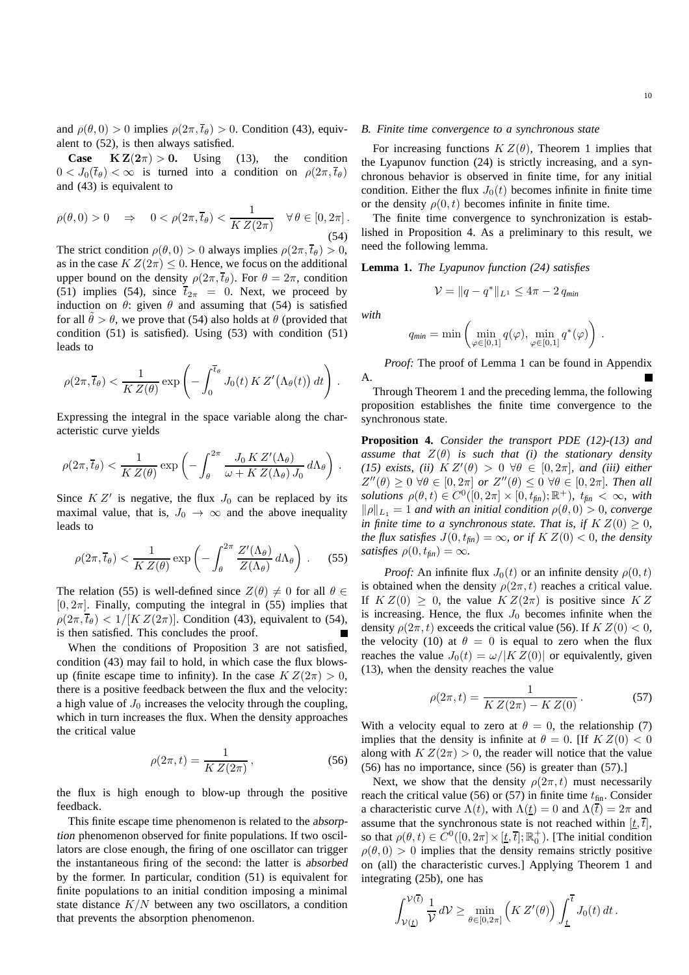and  $\rho(\theta, 0) > 0$  implies  $\rho(2\pi, \overline{t}_{\theta}) > 0$ . Condition (43), equivalent to (52), is then always satisfied.

**Case**  $K Z(2\pi) > 0$ . Using (13), the condition  $0 < J_0(\bar{t}_{\theta}) < \infty$  is turned into a condition on  $\rho(2\pi, \bar{t}_{\theta})$ and (43) is equivalent to

$$
\rho(\theta,0) > 0 \quad \Rightarrow \quad 0 < \rho(2\pi,\overline{t}_{\theta}) < \frac{1}{K Z(2\pi)} \quad \forall \, \theta \in [0,2\pi] \,. \tag{54}
$$

The strict condition  $\rho(\theta, 0) > 0$  always implies  $\rho(2\pi, \overline{t}_{\theta}) > 0$ , as in the case  $K Z(2\pi) \leq 0$ . Hence, we focus on the additional upper bound on the density  $\rho(2\pi,\overline{t}_{\theta})$ . For  $\theta = 2\pi$ , condition (51) implies (54), since  $\overline{t}_{2\pi}$  = 0. Next, we proceed by induction on  $\theta$ : given  $\theta$  and assuming that (54) is satisfied for all  $\theta > \theta$ , we prove that (54) also holds at  $\theta$  (provided that condition (51) is satisfied). Using (53) with condition (51) leads to

$$
\rho(2\pi,\overline{t}_{\theta}) < \frac{1}{K Z(\theta)} \exp\left(-\int_0^{\overline{t}_{\theta}} J_0(t) K Z'(\Lambda_{\theta}(t)) dt\right).
$$

Expressing the integral in the space variable along the characteristic curve yields

$$
\rho(2\pi,\overline{t}_{\theta}) < \frac{1}{K Z(\theta)} \exp\left(-\int_{\theta}^{2\pi} \frac{J_0 K Z'(\Lambda_{\theta})}{\omega + K Z(\Lambda_{\theta}) J_0} d\Lambda_{\theta}\right).
$$

Since  $K Z'$  is negative, the flux  $J_0$  can be replaced by its maximal value, that is,  $J_0 \rightarrow \infty$  and the above inequality leads to

$$
\rho(2\pi,\overline{t}_{\theta}) < \frac{1}{K Z(\theta)} \exp\left(-\int_{\theta}^{2\pi} \frac{Z'(\Lambda_{\theta})}{Z(\Lambda_{\theta})} \, d\Lambda_{\theta}\right) \,. \tag{55}
$$

The relation (55) is well-defined since  $Z(\theta) \neq 0$  for all  $\theta \in$  $[0, 2\pi]$ . Finally, computing the integral in (55) implies that  $\rho(2\pi,\overline{t}_{\theta}) < 1/[K Z(2\pi)]$ . Condition (43), equivalent to (54), is then satisfied. This concludes the proof.

When the conditions of Proposition 3 are not satisfied, condition (43) may fail to hold, in which case the flux blowsup (finite escape time to infinity). In the case  $K Z(2\pi) > 0$ , there is a positive feedback between the flux and the velocity: a high value of  $J_0$  increases the velocity through the coupling, which in turn increases the flux. When the density approaches the critical value

$$
\rho(2\pi, t) = \frac{1}{K Z(2\pi)},
$$
\n(56)

the flux is high enough to blow-up through the positive feedback.

This finite escape time phenomenon is related to the absorption phenomenon observed for finite populations. If two oscillators are close enough, the firing of one oscillator can trigger the instantaneous firing of the second: the latter is absorbed by the former. In particular, condition (51) is equivalent for finite populations to an initial condition imposing a minimal state distance  $K/N$  between any two oscillators, a condition that prevents the absorption phenomenon.

## *B. Finite time convergence to a synchronous state*

For increasing functions  $K Z(\theta)$ , Theorem 1 implies that the Lyapunov function (24) is strictly increasing, and a synchronous behavior is observed in finite time, for any initial condition. Either the flux  $J_0(t)$  becomes infinite in finite time or the density  $\rho(0, t)$  becomes infinite in finite time.

The finite time convergence to synchronization is established in Proposition 4. As a preliminary to this result, we need the following lemma.

**Lemma 1.** *The Lyapunov function (24) satisfies*

$$
\mathcal{V} = \|q - q^*\|_{L^1} \le 4\pi - 2 q_{\min}
$$

*with*

$$
q_{min} = \min \left( \min_{\varphi \in [0,1]} q(\varphi), \min_{\varphi \in [0,1]} q^*(\varphi) \right).
$$

*Proof:* The proof of Lemma 1 can be found in Appendix A.

Through Theorem 1 and the preceding lemma, the following proposition establishes the finite time convergence to the synchronous state.

**Proposition 4.** *Consider the transport PDE (12)-(13) and assume that*  $Z(\theta)$  *is such that (i) the stationary density* (15) exists, (ii)  $K Z'(\theta) > 0 \ \forall \theta \in [0, 2\pi]$ , and (iii) either  $Z''(\theta) \geq 0 \ \forall \theta \in [0, 2\pi] \ or \ Z''(\theta) \leq 0 \ \forall \theta \in [0, 2\pi]$ *. Then all*  $solutions \rho(\theta, t) \in C^{0}([0, 2\pi] \times [0, t_{fin}); \mathbb{R}^+), t_{fin} < \infty$ , with  $\|\rho\|_{L_1} = 1$  *and with an initial condition*  $\rho(\theta, 0) > 0$ *, converge in finite time to a synchronous state. That is, if*  $K Z(0) \geq 0$ *, the flux satisfies*  $J(0, t_{fin}) = \infty$ *, or if*  $K Z(0) < 0$ *, the density satisfies*  $\rho(0, t_{\text{fin}}) = \infty$ *.* 

*Proof:* An infinite flux  $J_0(t)$  or an infinite density  $\rho(0, t)$ is obtained when the density  $\rho(2\pi, t)$  reaches a critical value. If  $K Z(0) \geq 0$ , the value  $K Z(2\pi)$  is positive since  $K Z$ is increasing. Hence, the flux  $J_0$  becomes infinite when the density  $\rho(2\pi, t)$  exceeds the critical value (56). If  $K Z(0) < 0$ , the velocity (10) at  $\theta = 0$  is equal to zero when the flux reaches the value  $J_0(t) = \omega / |K Z(0)|$  or equivalently, given (13), when the density reaches the value

$$
\rho(2\pi, t) = \frac{1}{K Z(2\pi) - K Z(0)}.
$$
\n(57)

With a velocity equal to zero at  $\theta = 0$ , the relationship (7) implies that the density is infinite at  $\theta = 0$ . [If  $KZ(0) < 0$ along with  $K Z(2\pi) > 0$ , the reader will notice that the value (56) has no importance, since (56) is greater than (57).]

Next, we show that the density  $\rho(2\pi, t)$  must necessarily reach the critical value (56) or (57) in finite time  $t_{fin}$ . Consider a characteristic curve  $\Lambda(t)$ , with  $\Lambda(t) = 0$  and  $\Lambda(\overline{t}) = 2\pi$  and assume that the synchronous state is not reached within  $[t, \overline{t}]$ , so that  $\rho(\theta, t) \in C^0([0, 2\pi] \times [\underline{t}, \overline{t}]; \mathbb{R}_0^+)$ . [The initial condition  $\rho(\theta, 0) > 0$  implies that the density remains strictly positive on (all) the characteristic curves.] Applying Theorem 1 and integrating (25b), one has

$$
\int_{V(\underline{t})}^{V(\overline{t})} \frac{1}{V} dV \ge \min_{\theta \in [0, 2\pi]} \left( K Z'(\theta) \right) \int_{\underline{t}}^{\overline{t}} J_0(t) dt.
$$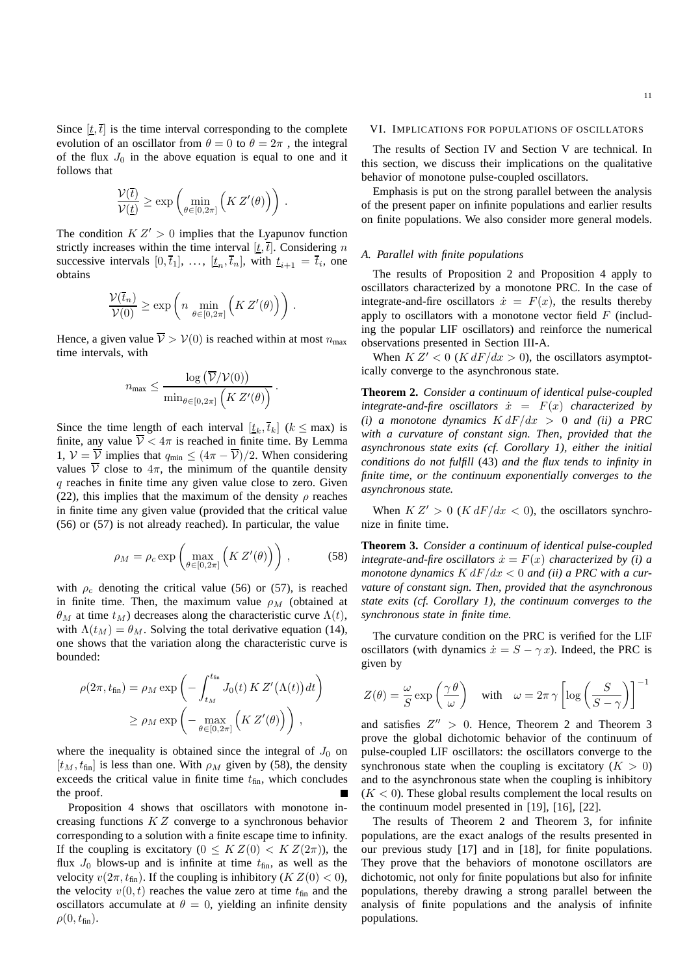Since  $[t, \bar{t}]$  is the time interval corresponding to the complete evolution of an oscillator from  $\theta = 0$  to  $\theta = 2\pi$ , the integral of the flux  $J_0$  in the above equation is equal to one and it follows that

$$
\frac{\mathcal{V}(\overline{t})}{\mathcal{V}(\underline{t})} \ge \exp\left(\min_{\theta \in [0,2\pi]} \left(K Z'(\theta)\right)\right)
$$

.

The condition  $K Z' > 0$  implies that the Lyapunov function strictly increases within the time interval  $[t, \overline{t}]$ . Considering n successive intervals  $[0, \bar{t}_1], \ldots, [\underline{t}_n, \bar{t}_n]$ , with  $\underline{t}_{i+1} = \bar{t}_i$ , one obtains

$$
\frac{\mathcal{V}(\overline{t}_n)}{\mathcal{V}(0)} \ge \exp\left(n \, \min_{\theta \in [0,2\pi]} \left(K Z'(\theta)\right)\right).
$$

Hence, a given value  $\overline{V} > V(0)$  is reached within at most  $n_{\text{max}}$ time intervals, with

$$
n_{\max} \leq \frac{\log\left(\overline{\mathcal{V}}/\mathcal{V}(0)\right)}{\min_{\theta \in [0,2\pi]}\left(K Z'(\theta)\right)}.
$$

Since the time length of each interval  $[t_k, \overline{t}_k]$  ( $k \leq \text{max}$ ) is finite, any value  $\overline{V} < 4\pi$  is reached in finite time. By Lemma 1,  $V = \overline{V}$  implies that  $q_{\min} \leq (4\pi - \overline{V})/2$ . When considering values  $\overline{V}$  close to  $4\pi$ , the minimum of the quantile density  $q$  reaches in finite time any given value close to zero. Given (22), this implies that the maximum of the density  $\rho$  reaches in finite time any given value (provided that the critical value (56) or (57) is not already reached). In particular, the value

$$
\rho_M = \rho_c \exp\left(\max_{\theta \in [0, 2\pi]} \left(K Z'(\theta)\right)\right),\tag{58}
$$

with  $\rho_c$  denoting the critical value (56) or (57), is reached in finite time. Then, the maximum value  $\rho_M$  (obtained at  $\theta_M$  at time  $t_M$ ) decreases along the characteristic curve  $\Lambda(t)$ , with  $\Lambda(t_M) = \theta_M$ . Solving the total derivative equation (14), one shows that the variation along the characteristic curve is bounded:

$$
\rho(2\pi, t_{\text{fin}}) = \rho_M \exp\left(-\int_{t_M}^{t_{\text{fin}}} J_0(t) K Z'(\Lambda(t)) dt\right)
$$

$$
\geq \rho_M \exp\left(-\max_{\theta \in [0, 2\pi]} \left(K Z'(\theta)\right)\right),
$$

where the inequality is obtained since the integral of  $J_0$  on  $[t_M, t_{fin}]$  is less than one. With  $\rho_M$  given by (58), the density exceeds the critical value in finite time  $t_{fin}$ , which concludes the proof.

Proposition 4 shows that oscillators with monotone increasing functions K Z converge to a synchronous behavior corresponding to a solution with a finite escape time to infinity. If the coupling is excitatory ( $0 \leq K Z(0) < K Z(2\pi)$ ), the flux  $J_0$  blows-up and is infinite at time  $t_{fin}$ , as well as the velocity  $v(2\pi, t_{fin})$ . If the coupling is inhibitory ( $K Z(0) < 0$ ), the velocity  $v(0, t)$  reaches the value zero at time  $t_{fin}$  and the oscillators accumulate at  $\theta = 0$ , yielding an infinite density  $\rho(0, t_{fin}).$ 

#### VI. IMPLICATIONS FOR POPULATIONS OF OSCILLATORS

The results of Section IV and Section V are technical. In this section, we discuss their implications on the qualitative behavior of monotone pulse-coupled oscillators.

Emphasis is put on the strong parallel between the analysis of the present paper on infinite populations and earlier results on finite populations. We also consider more general models.

## *A. Parallel with finite populations*

The results of Proposition 2 and Proposition 4 apply to oscillators characterized by a monotone PRC. In the case of integrate-and-fire oscillators  $\dot{x} = F(x)$ , the results thereby apply to oscillators with a monotone vector field  $F$  (including the popular LIF oscillators) and reinforce the numerical observations presented in Section III-A.

When  $K Z' < 0$  ( $K dF/dx > 0$ ), the oscillators asymptotically converge to the asynchronous state.

**Theorem 2.** *Consider a continuum of identical pulse-coupled integrate-and-fire oscillators*  $\dot{x} = F(x)$  *characterized by (i) a monotone dynamics*  $K dF/dx > 0$  *and (ii) a PRC with a curvature of constant sign. Then, provided that the asynchronous state exits (cf. Corollary 1), either the initial conditions do not fulfill* (43) *and the flux tends to infinity in finite time, or the continuum exponentially converges to the asynchronous state.*

When  $K Z' > 0$  ( $K dF/dx < 0$ ), the oscillators synchronize in finite time.

**Theorem 3.** *Consider a continuum of identical pulse-coupled integrate-and-fire oscillators*  $\dot{x} = F(x)$  *characterized by (i) a monotone dynamics* K dF/dx < 0 *and (ii) a PRC with a curvature of constant sign. Then, provided that the asynchronous state exits (cf. Corollary 1), the continuum converges to the synchronous state in finite time.*

The curvature condition on the PRC is verified for the LIF oscillators (with dynamics  $\dot{x} = S - \gamma x$ ). Indeed, the PRC is given by

$$
Z(\theta) = \frac{\omega}{S} \exp\left(\frac{\gamma \theta}{\omega}\right) \quad \text{with} \quad \omega = 2\pi \gamma \left[ \log \left( \frac{S}{S - \gamma} \right) \right]^{-1}
$$

and satisfies  $Z'' > 0$ . Hence, Theorem 2 and Theorem 3 prove the global dichotomic behavior of the continuum of pulse-coupled LIF oscillators: the oscillators converge to the synchronous state when the coupling is excitatory  $(K > 0)$ and to the asynchronous state when the coupling is inhibitory  $(K < 0)$ . These global results complement the local results on the continuum model presented in [19], [16], [22].

The results of Theorem 2 and Theorem 3, for infinite populations, are the exact analogs of the results presented in our previous study [17] and in [18], for finite populations. They prove that the behaviors of monotone oscillators are dichotomic, not only for finite populations but also for infinite populations, thereby drawing a strong parallel between the analysis of finite populations and the analysis of infinite populations.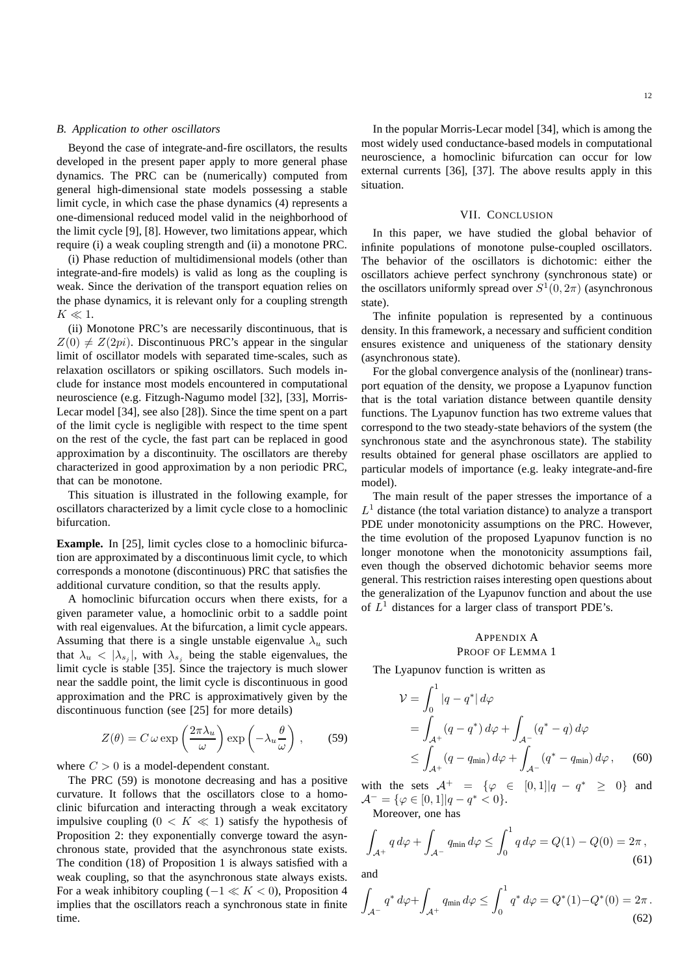#### *B. Application to other oscillators*

Beyond the case of integrate-and-fire oscillators, the results developed in the present paper apply to more general phase dynamics. The PRC can be (numerically) computed from general high-dimensional state models possessing a stable limit cycle, in which case the phase dynamics (4) represents a one-dimensional reduced model valid in the neighborhood of the limit cycle [9], [8]. However, two limitations appear, which require (i) a weak coupling strength and (ii) a monotone PRC.

(i) Phase reduction of multidimensional models (other than integrate-and-fire models) is valid as long as the coupling is weak. Since the derivation of the transport equation relies on the phase dynamics, it is relevant only for a coupling strength  $K \ll 1$ .

(ii) Monotone PRC's are necessarily discontinuous, that is  $Z(0) \neq Z(2pi)$ . Discontinuous PRC's appear in the singular limit of oscillator models with separated time-scales, such as relaxation oscillators or spiking oscillators. Such models include for instance most models encountered in computational neuroscience (e.g. Fitzugh-Nagumo model [32], [33], Morris-Lecar model [34], see also [28]). Since the time spent on a part of the limit cycle is negligible with respect to the time spent on the rest of the cycle, the fast part can be replaced in good approximation by a discontinuity. The oscillators are thereby characterized in good approximation by a non periodic PRC, that can be monotone.

This situation is illustrated in the following example, for oscillators characterized by a limit cycle close to a homoclinic bifurcation.

**Example.** In [25], limit cycles close to a homoclinic bifurcation are approximated by a discontinuous limit cycle, to which corresponds a monotone (discontinuous) PRC that satisfies the additional curvature condition, so that the results apply.

A homoclinic bifurcation occurs when there exists, for a given parameter value, a homoclinic orbit to a saddle point with real eigenvalues. At the bifurcation, a limit cycle appears. Assuming that there is a single unstable eigenvalue  $\lambda_u$  such that  $\lambda_u < |\lambda_{s_j}|$ , with  $\lambda_{s_j}$  being the stable eigenvalues, the limit cycle is stable [35]. Since the trajectory is much slower near the saddle point, the limit cycle is discontinuous in good approximation and the PRC is approximatively given by the discontinuous function (see [25] for more details)

$$
Z(\theta) = C \omega \exp\left(\frac{2\pi\lambda_u}{\omega}\right) \exp\left(-\lambda_u \frac{\theta}{\omega}\right), \quad (59)
$$

where  $C > 0$  is a model-dependent constant.

The PRC (59) is monotone decreasing and has a positive curvature. It follows that the oscillators close to a homoclinic bifurcation and interacting through a weak excitatory impulsive coupling  $(0 \lt K \ll 1)$  satisfy the hypothesis of Proposition 2: they exponentially converge toward the asynchronous state, provided that the asynchronous state exists. The condition (18) of Proposition 1 is always satisfied with a weak coupling, so that the asynchronous state always exists. For a weak inhibitory coupling  $(-1 \ll K < 0)$ , Proposition 4 implies that the oscillators reach a synchronous state in finite time.

In the popular Morris-Lecar model [34], which is among the most widely used conductance-based models in computational neuroscience, a homoclinic bifurcation can occur for low external currents [36], [37]. The above results apply in this situation.

#### VII. CONCLUSION

In this paper, we have studied the global behavior of infinite populations of monotone pulse-coupled oscillators. The behavior of the oscillators is dichotomic: either the oscillators achieve perfect synchrony (synchronous state) or the oscillators uniformly spread over  $S^1(0, 2\pi)$  (asynchronous state).

The infinite population is represented by a continuous density. In this framework, a necessary and sufficient condition ensures existence and uniqueness of the stationary density (asynchronous state).

For the global convergence analysis of the (nonlinear) transport equation of the density, we propose a Lyapunov function that is the total variation distance between quantile density functions. The Lyapunov function has two extreme values that correspond to the two steady-state behaviors of the system (the synchronous state and the asynchronous state). The stability results obtained for general phase oscillators are applied to particular models of importance (e.g. leaky integrate-and-fire model).

The main result of the paper stresses the importance of a  $L<sup>1</sup>$  distance (the total variation distance) to analyze a transport PDE under monotonicity assumptions on the PRC. However, the time evolution of the proposed Lyapunov function is no longer monotone when the monotonicity assumptions fail, even though the observed dichotomic behavior seems more general. This restriction raises interesting open questions about the generalization of the Lyapunov function and about the use of  $L<sup>1</sup>$  distances for a larger class of transport PDE's.

# APPENDIX A PROOF OF LEMMA 1

The Lyapunov function is written as

$$
\mathcal{V} = \int_0^1 |q - q^*| \, d\varphi
$$
  
= 
$$
\int_{\mathcal{A}^+} (q - q^*) \, d\varphi + \int_{\mathcal{A}^-} (q^* - q) \, d\varphi
$$
  

$$
\leq \int_{\mathcal{A}^+} (q - q_{\min}) \, d\varphi + \int_{\mathcal{A}^-} (q^* - q_{\min}) \, d\varphi , \qquad (60)
$$

with the sets  $A^+ = {\varphi \in [0,1] | q - q^* \geq 0}$  and  $\mathcal{A}^- = \{ \varphi \in [0,1] | q - q^* < 0 \}.$ 

Moreover, one has

$$
\int_{\mathcal{A}^+} q \, d\varphi + \int_{\mathcal{A}^-} q_{\min} \, d\varphi \le \int_0^1 q \, d\varphi = Q(1) - Q(0) = 2\pi ,\tag{61}
$$

(62)

Z  $\mathcal{A}^$  $q^* d\varphi +$  $\int_{\mathcal{A}^{+}} q_{\mathsf{min}} \, d\varphi \leq \int_{0}^{1}$ 0  $q^* d\varphi = Q^*(1) - Q^*(0) = 2\pi$ .